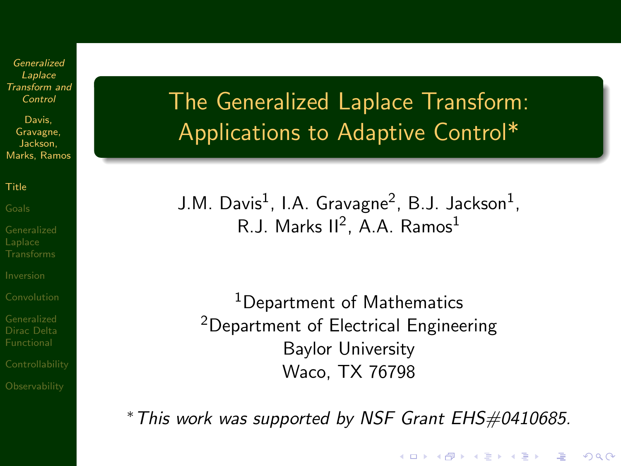Davis, Gravagne, Jackson, Marks, Ramos

[Title](#page-0-0)

<span id="page-0-0"></span>

# The Generalized Laplace Transform: Applications to Adaptive Control\*

J.M. Davis $^1$ , I.A. Gravagne $^2$ , B.J. Jackson $^1$ , R.J. Marks II<sup>2</sup>, A.A. Ramos<sup>1</sup>

<sup>1</sup>Department of Mathematics <sup>2</sup>Department of Electrical Engineering Baylor University Waco, TX 76798

<sup>∗</sup>This work was supported by NSF Grant EHS#0410685.

**AD A REAKEN E YOUR**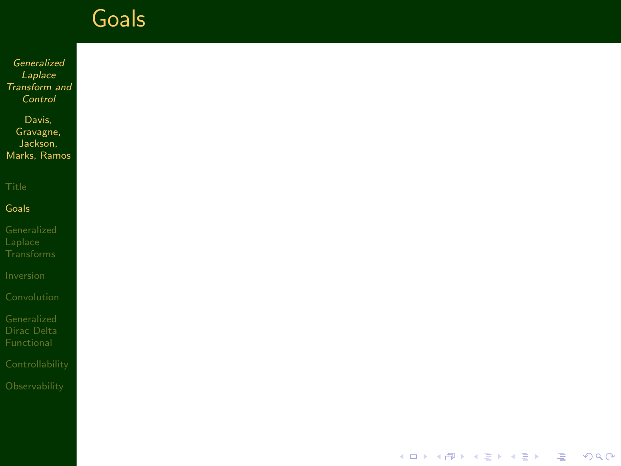Generalized **Laplace** [Transform and](#page-0-0) Control

Davis, Gravagne, Jackson, Marks, Ramos

[Goals](#page-1-0)

<span id="page-1-0"></span>

イロト 不優 ト 不重 ト 不重 トー 凄い  $299$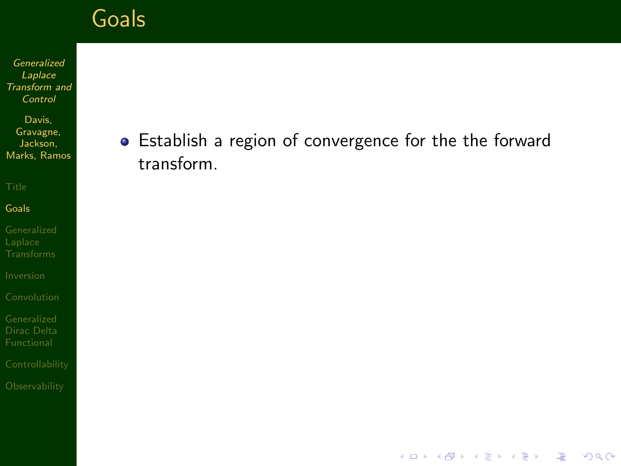Generalized Laplace [Transform and](#page-0-0) Control

Davis, Gravagne, Jackson, Marks, Ramos

#### [Goals](#page-1-0)

[Dirac Delta](#page-56-0)

### **•** Establish a region of convergence for the the forward transform.

K ロ ▶ K @ ▶ K 할 > K 할 > 1 할 > 1 이익어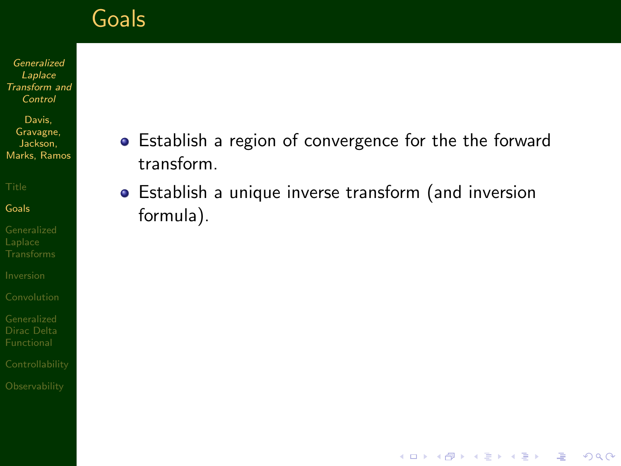Generalized Laplace [Transform and](#page-0-0) Control

Davis, Gravagne, Jackson, Marks, Ramos

#### [Goals](#page-1-0)

[Dirac Delta](#page-56-0)

- **•** Establish a region of convergence for the the forward transform.
- Establish a unique inverse transform (and inversion formula).

**KORK EX KEY KEY YOUR**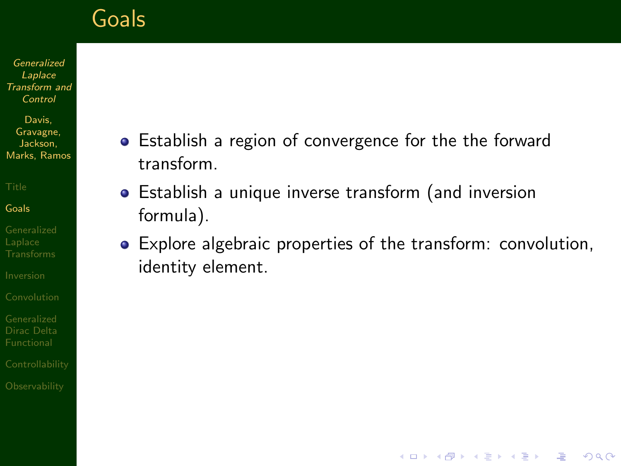Generalized Laplace [Transform and](#page-0-0) Control

Davis, Gravagne, Jackson, Marks, Ramos

[Goals](#page-1-0)

[Dirac Delta](#page-56-0)

- **•** Establish a region of convergence for the the forward transform.
- Establish a unique inverse transform (and inversion formula).
- Explore algebraic properties of the transform: convolution, identity element.

**KORK EX KEY KEY YOUR**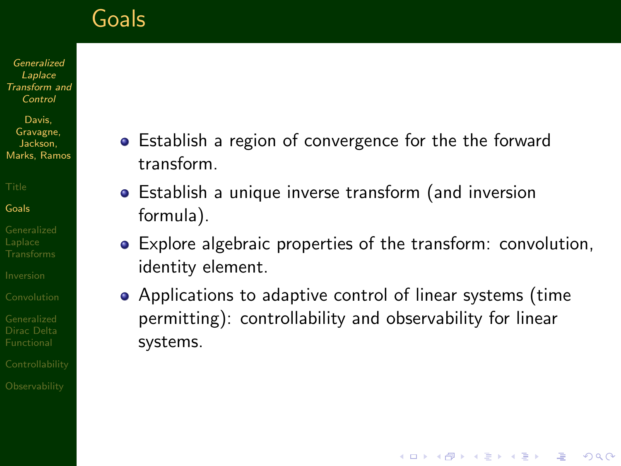Generalized Laplace [Transform and](#page-0-0) Control

Davis, Gravagne, Jackson, Marks, Ramos

[Goals](#page-1-0)

[Dirac Delta](#page-56-0)

- Establish a region of convergence for the the forward transform.
	- Establish a unique inverse transform (and inversion formula).
	- Explore algebraic properties of the transform: convolution, identity element.
- Applications to adaptive control of linear systems (time permitting): controllability and observability for linear systems.

**AD A REAKEN E YOUR**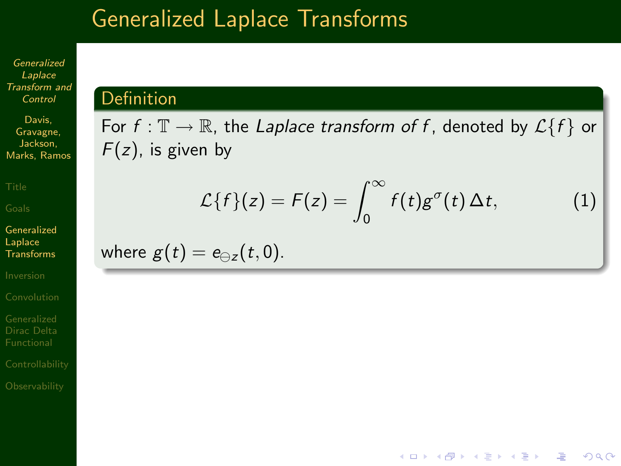### Generalized Laplace Transforms

Generalized Laplace [Transform and](#page-0-0) Control

Davis, Gravagne, Jackson, Marks, Ramos

[Generalized](#page-6-0) Laplace Transforms

[Dirac Delta](#page-56-0)

<span id="page-6-0"></span>

#### **Definition**

For  $f : \mathbb{T} \to \mathbb{R}$ , the Laplace transform of f, denoted by  $\mathcal{L}{f}$  or  $F(z)$ , is given by

<span id="page-6-1"></span>
$$
\mathcal{L}{f}(z) = F(z) = \int_0^\infty f(t)g^\sigma(t)\,\Delta t,\tag{1}
$$

**AD A REAKEN E YOUR** 

where  $g(t) = e_{\theta z}(t, 0)$ .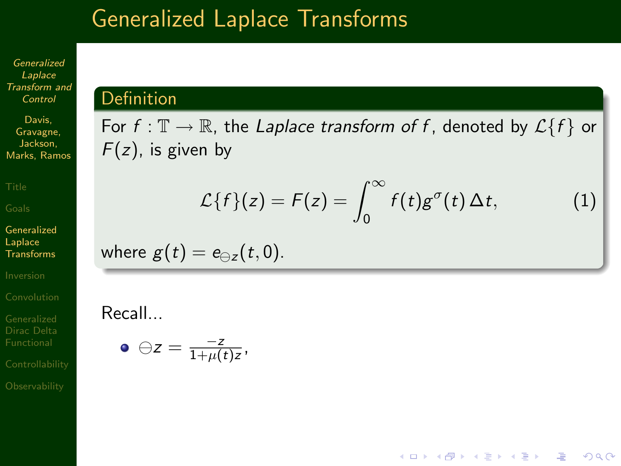### Generalized Laplace Transforms

Generalized Laplace [Transform and](#page-0-0) Control

Davis, Gravagne, Jackson, Marks, Ramos

[Generalized](#page-6-0) Laplace Transforms

[Dirac Delta](#page-56-0)

#### **Definition**

For  $f : \mathbb{T} \to \mathbb{R}$ , the Laplace transform of f, denoted by  $\mathcal{L}{f}$  or  $F(z)$ , is given by

$$
\mathcal{L}{f}(z) = F(z) = \int_0^\infty f(t)g^\sigma(t)\,\Delta t,\tag{1}
$$

**AD A REAKEN E YOUR** 

where  $g(t) = e_{\theta z}(t, 0)$ .

Recall...

C

$$
\bullet \ominus z = \frac{-z}{1+\mu(t)z},
$$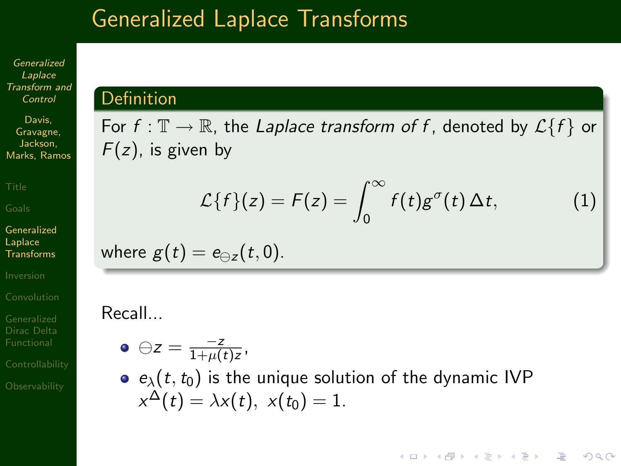### Generalized Laplace Transforms

Generalized Laplace [Transform and](#page-0-0) Control

Davis, Gravagne, Jackson, Marks, Ramos

[Generalized](#page-6-0) Laplace **Transforms** 

[Dirac Delta](#page-56-0)

#### Definition

For  $f : \mathbb{T} \to \mathbb{R}$ , the Laplace transform of f, denoted by  $\mathcal{L}{f}$  or  $F(z)$ , is given by

$$
\mathcal{L}{f}(z) = F(z) = \int_0^\infty f(t)g^\sigma(t)\,\Delta t,\tag{1}
$$

**AD A REAKEN E YOUR** 

where 
$$
g(t) = e_{\ominus z}(t, 0)
$$
.

Recall...

ł

$$
\bullet \ominus z = \frac{-z}{1+\mu(t)z},
$$

 $e_{\lambda}(t,t_0)$  is the unique solution of the dynamic IVP  $x^\Delta(t) = \lambda x(t),\,\, x(t_0) = 1.$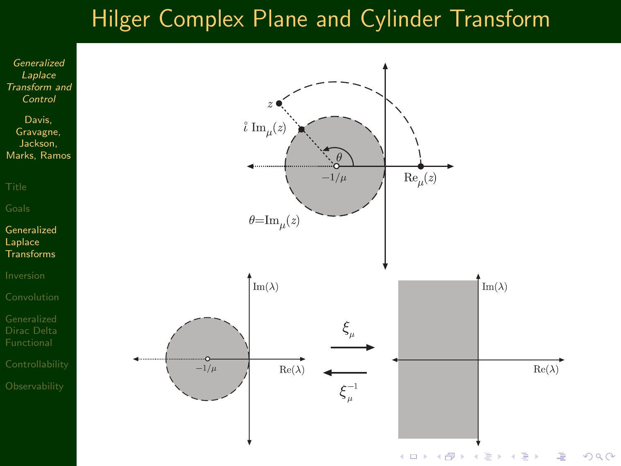### Hilger Complex Plane and Cylinder Transform

Generalized Laplace [Transform and](#page-0-0) Control

Davis, Gravagne, Jackson, Marks, Ramos

[Generalized](#page-6-0) Laplace **Transforms** 

[Dirac Delta](#page-56-0)

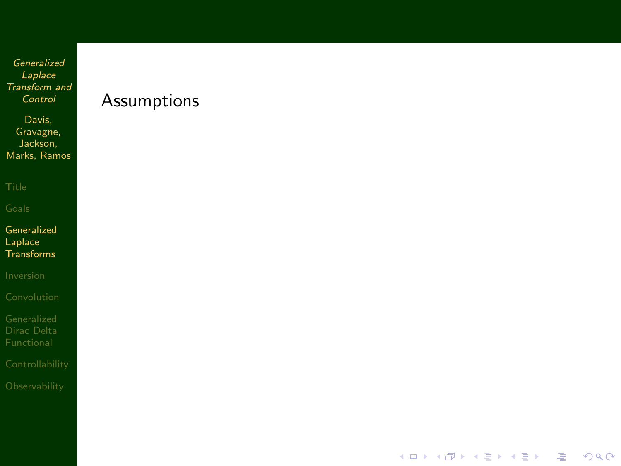Davis, Gravagne, Jackson, Marks, Ramos

[Generalized](#page-6-0) Laplace **Transforms** 

#### Assumptions

イロト 不優 ト 不重 ト 不重 トー

凄い  $299$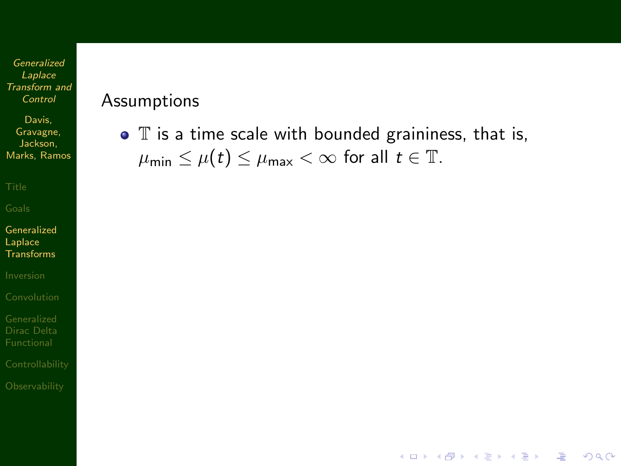Davis, Gravagne, Jackson, Marks, Ramos

[Generalized](#page-6-0) Laplace Transforms

[Dirac Delta](#page-56-0)

#### Assumptions

 $\bullet$   $\mathbb T$  is a time scale with bounded graininess, that is,  $\mu_{\min} \leq \mu(t) \leq \mu_{\max} < \infty$  for all  $t \in \mathbb{T}$ .

**KORK EX KEY KEY YOUR**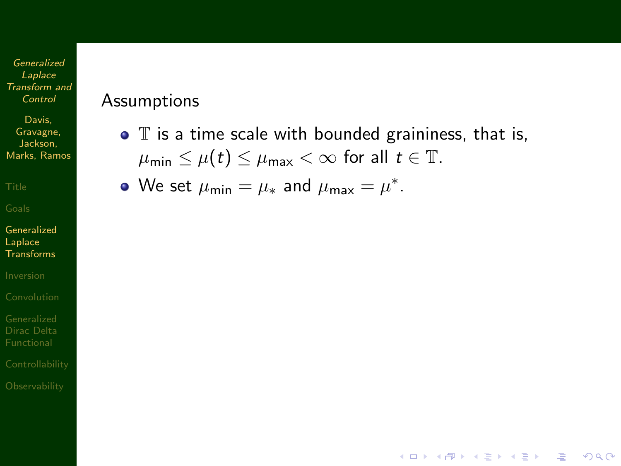Davis, Gravagne, Jackson, Marks, Ramos

[Generalized](#page-6-0) Laplace Transforms

[Dirac Delta](#page-56-0)

#### Assumptions

 $\bullet$   $\mathbb T$  is a time scale with bounded graininess, that is,  $\mu_{\min} \leq \mu(t) \leq \mu_{\max} < \infty$  for all  $t \in \mathbb{T}$ .

**KORK EX KEY KEY YOUR** 

We set  $\mu_{\min} = \mu_*$  and  $\mu_{\max} = \mu^*$ .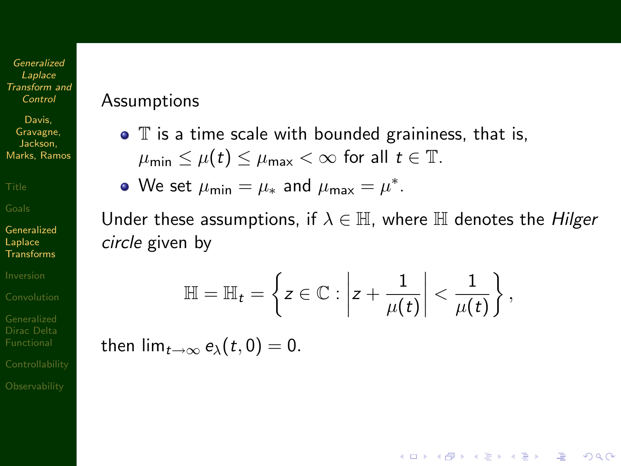Davis, Gravagne, Jackson, Marks, Ramos

[Generalized](#page-6-0) Laplace Transforms

[Dirac Delta](#page-56-0)

#### Assumptions

 $\bullet$   $\mathbb T$  is a time scale with bounded graininess, that is,  $\mu_{\min} \leq \mu(t) \leq \mu_{\max} < \infty$  for all  $t \in \mathbb{T}$ .

We set  $\mu_{\min} = \mu_*$  and  $\mu_{\max} = \mu^*$ .

Under these assumptions, if  $\lambda \in \mathbb{H}$ , where  $\mathbb H$  denotes the *Hilger* circle given by

$$
\mathbb{H} = \mathbb{H}_t = \left\{ z \in \mathbb{C} : \left| z + \frac{1}{\mu(t)} \right| < \frac{1}{\mu(t)} \right\},\
$$

**AD A REAKEN E YOUR** 

then  $\lim_{t\to\infty} e_{\lambda}(t,0)=0$ .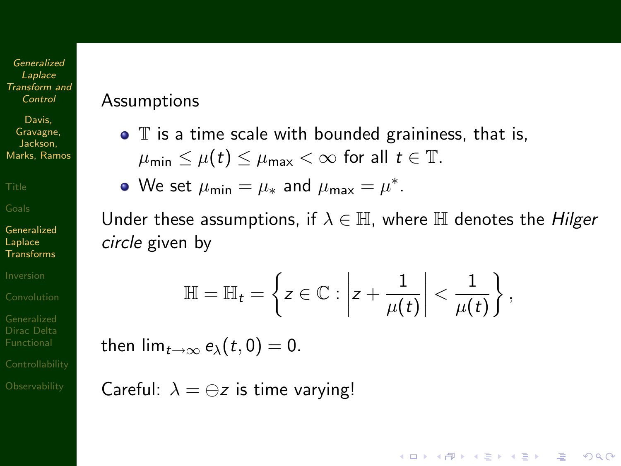Davis, Gravagne, Jackson, Marks, Ramos

[Generalized](#page-6-0) Laplace **Transforms** 

[Dirac Delta](#page-56-0)

#### Assumptions

 $\bullet$   $\mathbb T$  is a time scale with bounded graininess, that is,  $\mu_{\min} \leq \mu(t) \leq \mu_{\max} < \infty$  for all  $t \in \mathbb{T}$ .

We set  $\mu_{\min} = \mu_*$  and  $\mu_{\max} = \mu^*$ .

Under these assumptions, if  $\lambda \in \mathbb{H}$ , where  $\mathbb H$  denotes the *Hilger* circle given by

$$
\mathbb{H} = \mathbb{H}_t = \left\{ z \in \mathbb{C} : \left| z + \frac{1}{\mu(t)} \right| < \frac{1}{\mu(t)} \right\},\
$$

**AD A REAKEN E VOOR** 

then  $\lim_{t\to\infty} e_{\lambda}(t,0)=0$ .

Careful:  $\lambda = \ominus z$  is time varying!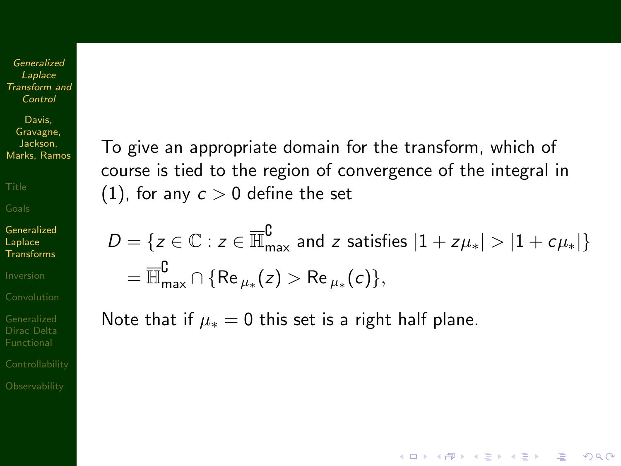Davis, Gravagne, Jackson, Marks, Ramos

[Generalized](#page-6-0) Laplace **Transforms** 

[Dirac Delta](#page-56-0)

To give an appropriate domain for the transform, which of course is tied to the region of convergence of the integral in [\(1\)](#page-6-1), for any  $c > 0$  define the set

 $D = \{z \in \mathbb{C} : z \in \overline{\mathbb{H}}_{\sf max}^{\complement}$  and  $z$  satisfies  $|1 + z\mu_*| > |1 + c\mu_*|\}$  $=\overline{\mathbb{H}}_{\max}^\complement \cap \{\mathsf{Re}\,_{\mu_*}(z) > \mathsf{Re}\,_{\mu_*}(c)\},$ 

**AD A REAKEN E VOOR** 

Note that if  $\mu_* = 0$  this set is a right half plane.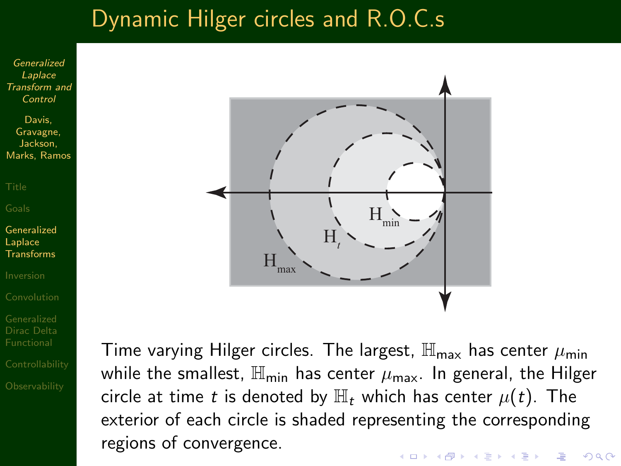### Dynamic Hilger circles and R.O.C.s

Generalized Laplace [Transform and](#page-0-0) Control

Davis, Gravagne, Jackson, Marks, Ramos

[Generalized](#page-6-0) Laplace Transforms

[Dirac Delta](#page-56-0)



Time varying Hilger circles. The largest,  $\mathbb{H}_{\text{max}}$  has center  $\mu_{\text{min}}$ while the smallest,  $\mathbb{H}_{\text{min}}$  has center  $\mu_{\text{max}}$ . In general, the Hilger circle at time t is denoted by  $\mathbb{H}_t$  which has center  $\mu(t)$ . The exterior of each circle is shaded representing the corresponding regions of convergence.**KORK EX KEY KEY YOUR**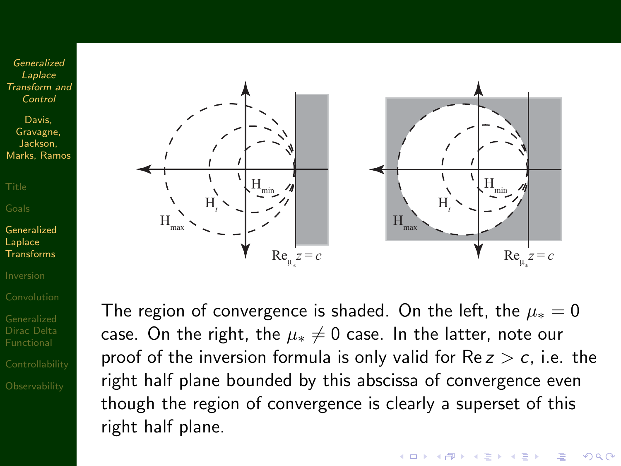Davis, Gravagne, Jackson, Marks, Ramos

[Generalized](#page-6-0) **Laplace** Transforms

[Dirac Delta](#page-56-0)



The region of convergence is shaded. On the left, the  $\mu_* = 0$ case. On the right, the  $\mu_* \neq 0$  case. In the latter, note our proof of the inversion formula is only valid for  $Re z > c$ , i.e. the right half plane bounded by this abscissa of convergence even though the region of convergence is clearly a superset of this right half plane.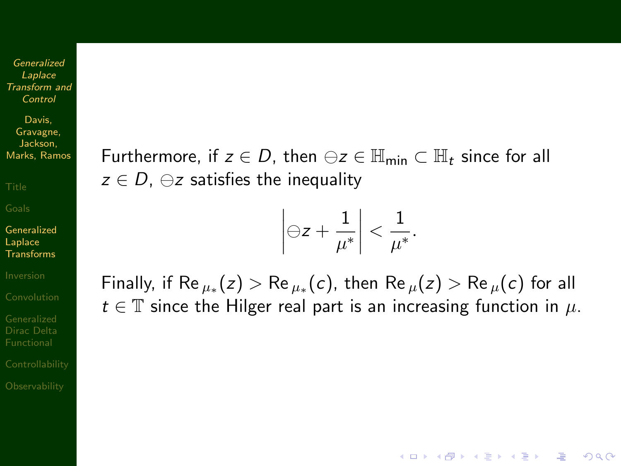Davis, Gravagne, Jackson, Marks, Ramos

[Generalized](#page-6-0) Laplace Transforms

[Dirac Delta](#page-56-0)

Furthermore, if  $z \in D$ , then  $\ominus z \in \mathbb{H}_{\min} \subset \mathbb{H}_t$  since for all  $z \in D$ ,  $\ominus z$  satisfies the inequality

$$
\left|\ominus z+\frac{1}{\mu^*}\right|<\frac{1}{\mu^*}.
$$

Finally, if  ${\sf Re}\,_{\mu_*}(z) > {\sf Re}\,_{\mu_*}(c)$ , then  ${\sf Re}\,_{\mu}(z) > {\sf Re}\,_{\mu}(c)$  for all  $t \in \mathbb{T}$  since the Hilger real part is an increasing function in  $\mu$ .

**KORK ERKER ER AGA**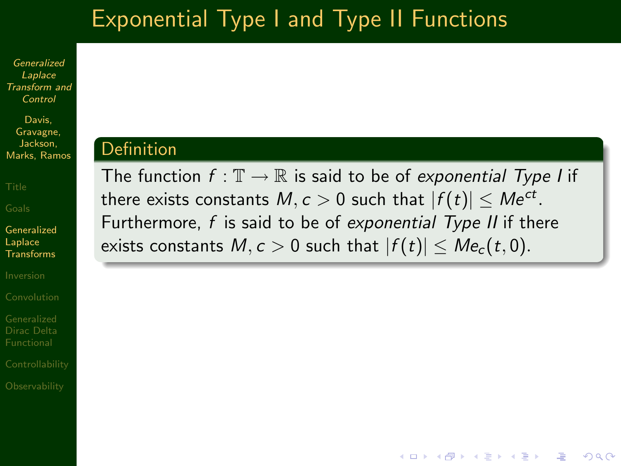# Exponential Type I and Type II Functions

Generalized Laplace [Transform and](#page-0-0) Control

Davis, Gravagne, Jackson, Marks, Ramos

[Generalized](#page-6-0) Laplace Transforms

[Dirac Delta](#page-56-0)

#### Definition

The function  $f : \mathbb{T} \to \mathbb{R}$  is said to be of exponential Type I if there exists constants  $M,c>0$  such that  $|f(t)|\leq Me^{ct}.$ Furthermore,  $f$  is said to be of exponential Type II if there exists constants  $M, c > 0$  such that  $|f(t)| \leq Me_c(t, 0)$ .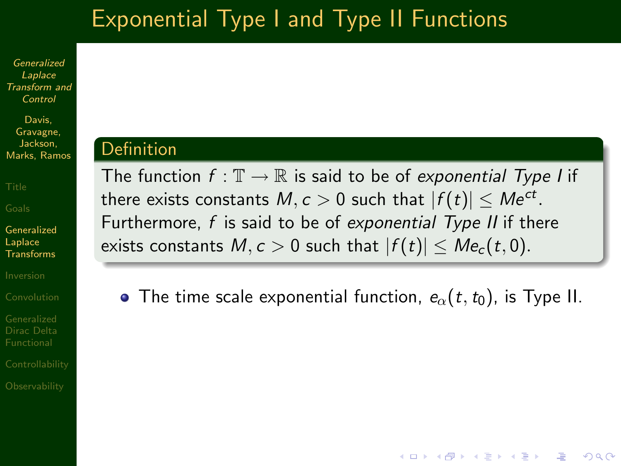# Exponential Type I and Type II Functions

Generalized Laplace [Transform and](#page-0-0) Control

Davis, Gravagne, Jackson, Marks, Ramos

[Generalized](#page-6-0) Laplace **Transforms** 

[Dirac Delta](#page-56-0)

#### Definition

The function  $f : \mathbb{T} \to \mathbb{R}$  is said to be of exponential Type I if there exists constants  $M,c>0$  such that  $|f(t)|\leq Me^{ct}.$ Furthermore,  $f$  is said to be of exponential Type II if there exists constants  $M, c > 0$  such that  $|f(t)| \leq Me_c(t, 0)$ .

• The time scale exponential function,  $e_{\alpha}(t,t_0)$ , is Type II.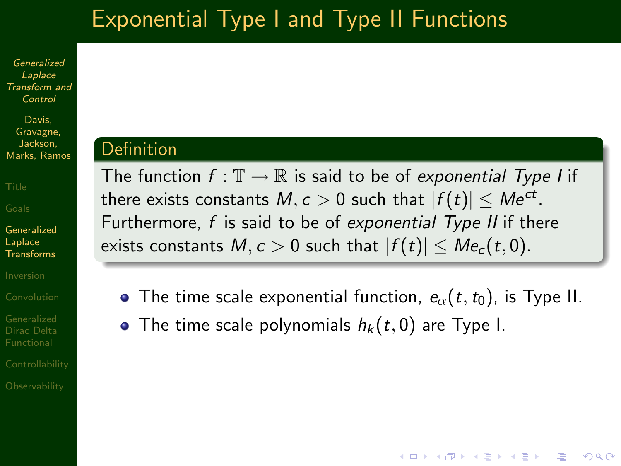# Exponential Type I and Type II Functions

Generalized Laplace [Transform and](#page-0-0) Control

Davis, Gravagne, Jackson, Marks, Ramos

[Generalized](#page-6-0) Laplace **Transforms** 

[Dirac Delta](#page-56-0)

#### Definition

The function  $f : \mathbb{T} \to \mathbb{R}$  is said to be of exponential Type I if there exists constants  $M,c>0$  such that  $|f(t)|\leq Me^{ct}.$ Furthermore,  $f$  is said to be of exponential Type II if there exists constants  $M, c > 0$  such that  $|f(t)| \leq Me_c(t, 0)$ .

• The time scale exponential function,  $e_{\alpha}(t,t_0)$ , is Type II.

**AD A REAKEN E VOOR** 

• The time scale polynomials  $h_k(t, 0)$  are Type I.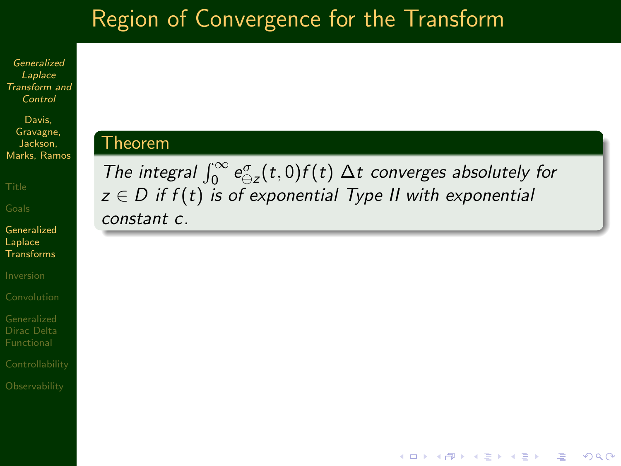# Region of Convergence for the Transform

Generalized Laplace [Transform and](#page-0-0) Control

Davis, Gravagne, Jackson, Marks, Ramos

Theorem

[Generalized](#page-6-0) Laplace **Transforms** 

[Dirac Delta](#page-56-0)

The integral  $\int_0^\infty e_{\ominus z}^\sigma(t,0) f(t) \Delta t$  converges absolutely for  $z \in D$  if  $f(t)$  is of exponential Type II with exponential constant c.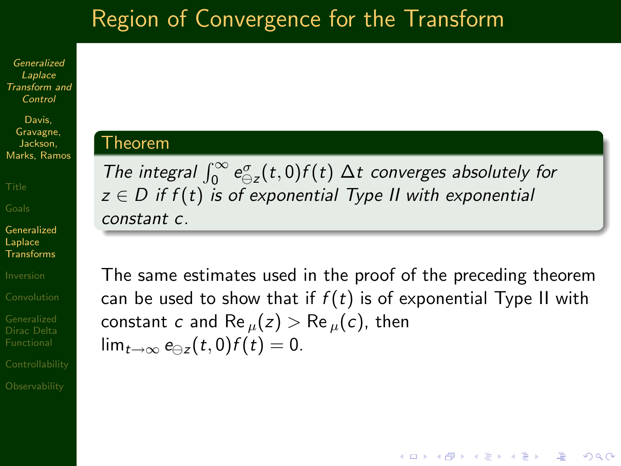# Region of Convergence for the Transform

Generalized Laplace [Transform and](#page-0-0) Control

Davis, Gravagne, Jackson, Marks, Ramos

Theorem

[Generalized](#page-6-0) Laplace Transforms

[Dirac Delta](#page-56-0)

### The integral  $\int_0^\infty e_{\ominus z}^\sigma(t,0) f(t) \Delta t$  converges absolutely for  $z \in D$  if  $f(t)$  is of exponential Type II with exponential constant c.

The same estimates used in the proof of the preceding theorem can be used to show that if  $f(t)$  is of exponential Type II with constant c and Re  $_{\mu}(z) >$  Re  $_{\mu}(c)$ , then  $\lim_{t\to\infty} e_{\ominus z}(t,0) f(t) = 0.$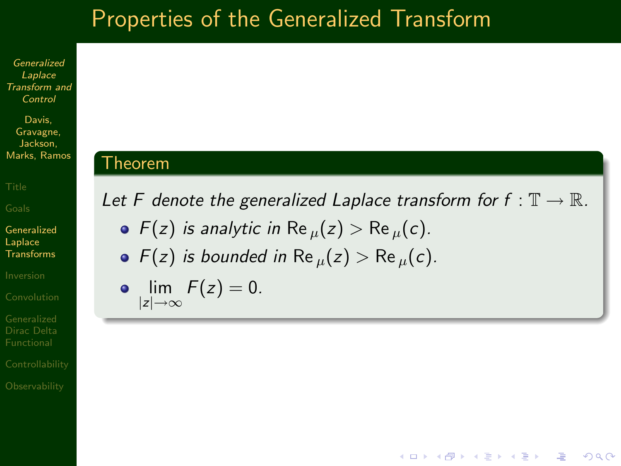### Properties of the Generalized Transform

Generalized Laplace [Transform and](#page-0-0) Control

Davis, Gravagne, Jackson, Marks, Ramos

[Generalized](#page-6-0) Laplace **Transforms** 

[Dirac Delta](#page-56-0)

#### Theorem

Let F denote the generalized Laplace transform for  $f : \mathbb{T} \to \mathbb{R}$ .

- $F(z)$  is analytic in Re  $\mu(z) > \text{Re } \mu(c)$ .
- $F(z)$  is bounded in Re  $\mu(z) > \text{Re } \mu(c)$ .

$$
\lim_{|z|\to\infty}F(z)=0.
$$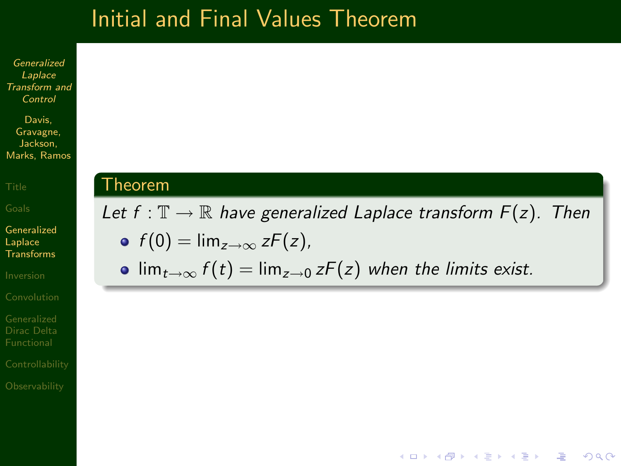### Initial and Final Values Theorem

Generalized Laplace [Transform and](#page-0-0) Control

Davis, Gravagne, Jackson, Marks, Ramos

[Generalized](#page-6-0) Laplace Transforms

[Dirac Delta](#page-56-0)

#### Theorem

Let  $f : \mathbb{T} \to \mathbb{R}$  have generalized Laplace transform  $F(z)$ . Then •  $f(0) = \lim_{z \to \infty} zF(z)$ ,

**AD A REAKEN E VOOR** 

•  $\lim_{t\to\infty} f(t) = \lim_{z\to 0} zF(z)$  when the limits exist.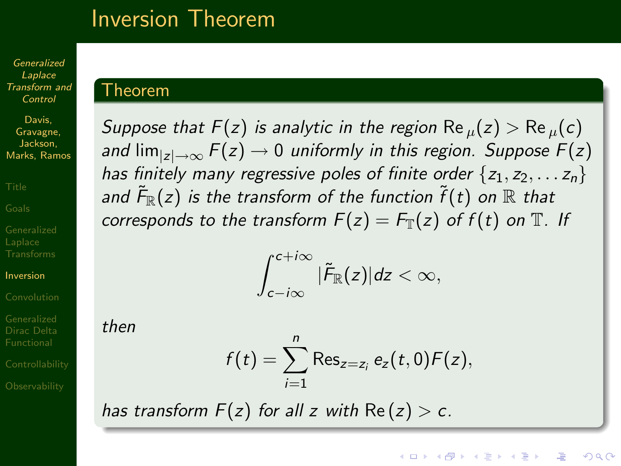### Inversion Theorem

Generalized Laplace [Transform and](#page-0-0) Control

Davis, Gravagne, Jackson, Marks, Ramos

[Inversion](#page-26-0)

<span id="page-26-0"></span>

#### Theorem

Suppose that  $F(z)$  is analytic in the region Re  $_{\mu}(z) > Re_{\mu}(c)$ and  $\lim_{|z|\to\infty} F(z) \to 0$  uniformly in this region. Suppose  $F(z)$ has finitely many regressive poles of finite order  $\{z_1, z_2, \ldots z_n\}$ and  $\tilde{\mathsf{F}}_\mathbb{R}(z)$  is the transform of the function  $\widetilde{f}(t)$  on  $\mathbb R$  that corresponds to the transform  $F(z) = F_{\mathbb{T}}(z)$  of  $f(t)$  on  $\mathbb{T}$ . If

$$
\int_{c-i\infty}^{c+i\infty} |\tilde{F}_{\mathbb{R}}(z)|dz < \infty,
$$

then

$$
f(t) = \sum_{i=1}^{n} \text{Res}_{z=z_i} e_z(t,0) F(z),
$$

**KORK ERKER ER AGA** 

has transform  $F(z)$  for all z with  $Re(z) > c$ .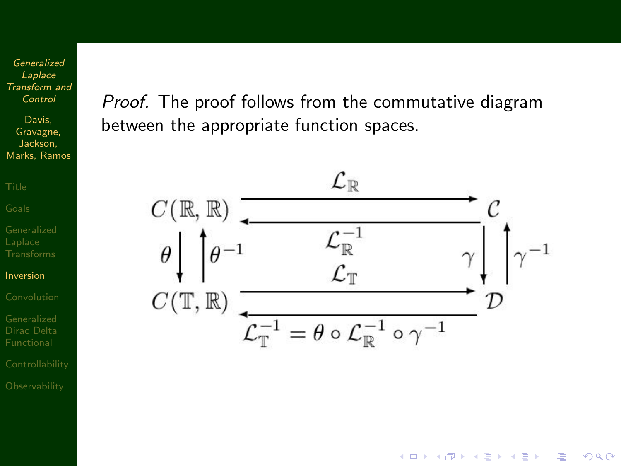Davis, Gravagne, Jackson, Marks, Ramos

[Inversion](#page-26-0)

[Dirac Delta](#page-56-0)

Proof. The proof follows from the commutative diagram between the appropriate function spaces.



イロト イ押ト イヨト イヨト

 $\equiv$ 

 $2990$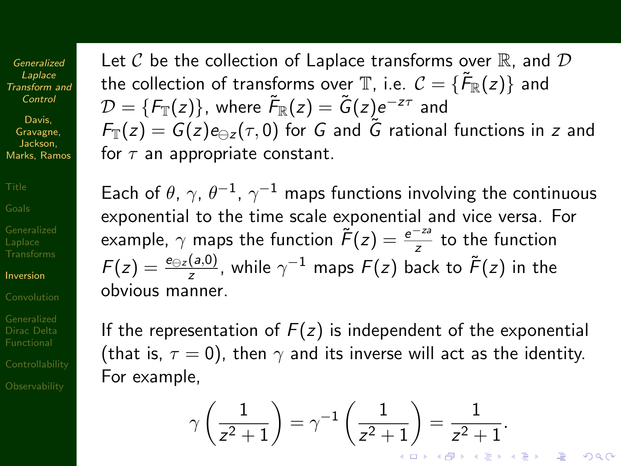Davis, Gravagne, Jackson, Marks, Ramos

[Inversion](#page-26-0)

[Dirac Delta](#page-56-0)

Let  $\mathcal C$  be the collection of Laplace transforms over  $\mathbb R$ , and  $\mathcal D$ the collection of transforms over  $\mathbb T$ , i.e.  $\mathcal C=\{ \tilde{\mathcal F}_\mathbb R(z)\}$  and  $\mathcal{D} = \{F_\mathbb{T}(z)\}$ , where  $\tilde{F}_\mathbb{R}(z) = \tilde{G}(z)e^{-z\tau}$  and  $F_{\mathbb{T}}(z) = G(z)e_{\ominus z}(\tau,0)$  for G and G rational functions in z and for  $\tau$  an appropriate constant.

Each of  $\theta$ ,  $\gamma$ ,  $\theta^{-1}$ ,  $\gamma^{-1}$  maps functions involving the continuous exponential to the time scale exponential and vice versa. For example,  $\gamma$  maps the function  $\widetilde{F}(z) = \frac{e^{-za}}{z}$  to the function  $F(z)=\frac{e_{\ominus z}(a,0)}{z}$ , while  $\gamma^{-1}$  maps  $F(z)$  back to  $\tilde{F}(z)$  in the obvious manner.

If the representation of  $F(z)$  is independent of the exponential (that is,  $\tau = 0$ ), then  $\gamma$  and its inverse will act as the identity. For example,

$$
\gamma\left(\frac{1}{z^2+1}\right) = \gamma^{-1}\left(\frac{1}{z^2+1}\right) = \frac{1}{z^2+1}.
$$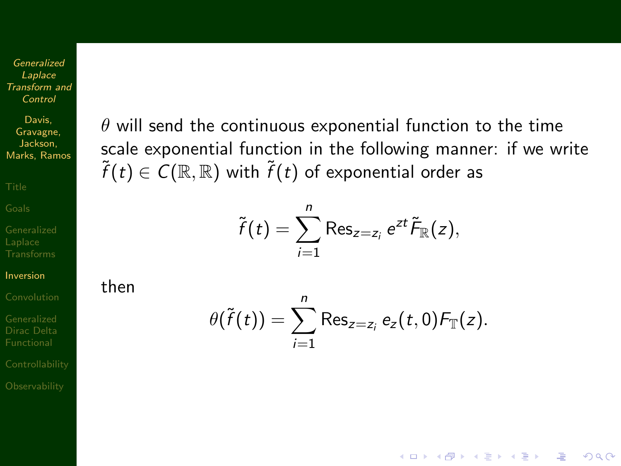Davis, Gravagne, Jackson, Marks, Ramos

[Inversion](#page-26-0)

[Dirac Delta](#page-56-0)

 $\theta$  will send the continuous exponential function to the time scale exponential function in the following manner: if we write  $\tilde{f}(t) \in C(\mathbb{R},\mathbb{R})$  with  $\tilde{f}(t)$  of exponential order as

$$
\tilde{f}(t) = \sum_{i=1}^n \operatorname{Res}_{z=z_i} e^{zt} \tilde{F}_{\mathbb{R}}(z),
$$

then

$$
\theta(\tilde{f}(t)) = \sum_{i=1}^n \operatorname{Res}_{z=z_i} e_z(t,0) F_{\mathbb{T}}(z).
$$

**KORK EX KEY KEY YOUR**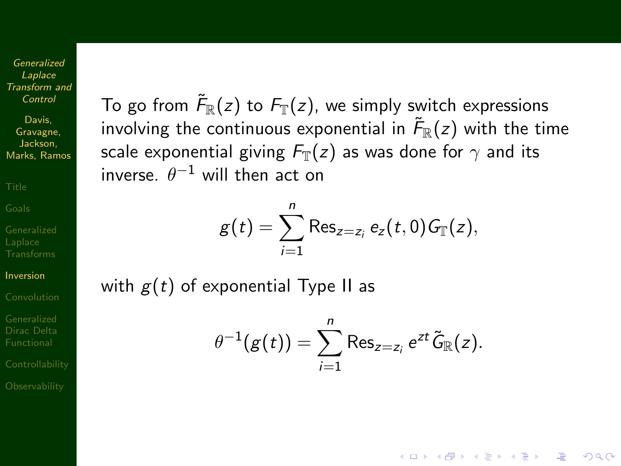Davis, Gravagne, Jackson, Marks, Ramos

[Inversion](#page-26-0)

[Dirac Delta](#page-56-0)

To go from  $\tilde{\mathcal{F}}_{\mathbb{R}}(z)$  to  $\mathcal{F}_{\mathbb{T}}(z)$ , we simply switch expressions involving the continuous exponential in  $\tilde{\mathcal{F}}_{\mathbb{R}}(z)$  with the time scale exponential giving  $F_{\mathbb{T}}(z)$  as was done for  $\gamma$  and its inverse.  $\theta^{-1}$  will then act on

$$
g(t)=\sum_{i=1}^n\operatorname{Res}_{z=z_i}e_z(t,0)G_{\mathbb{T}}(z),
$$

with  $g(t)$  of exponential Type II as

$$
\theta^{-1}(g(t)) = \sum_{i=1}^n \operatorname{Res}_{z=z_i} e^{zt} \widetilde{G}_{\mathbb{R}}(z).
$$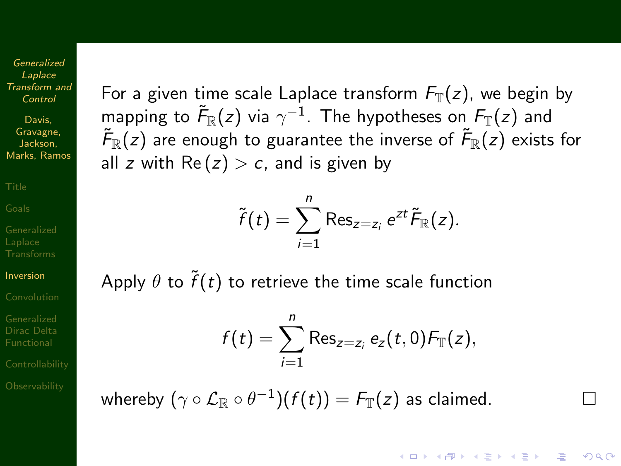Davis, Gravagne, Jackson, Marks, Ramos

[Inversion](#page-26-0)

[Dirac Delta](#page-56-0)

For a given time scale Laplace transform  $F_{\mathbb{T}}(z)$ , we begin by mapping to  $\tilde{\mathcal{F}}_{\mathbb{R}}(z)$  via  $\gamma^{-1}.$  The hypotheses on  $\mathcal{F}_{\mathbb{T}}(z)$  and  $\tilde{\mathcal{F}}_{\mathbb{R}}(z)$  are enough to guarantee the inverse of  $\tilde{\mathcal{F}}_{\mathbb{R}}(z)$  exists for all z with  $\text{Re}(z) > c$ , and is given by

$$
\tilde{f}(t)=\sum_{i=1}^n\operatorname{Res}_{z=z_i}e^{zt}\tilde{F}_{\mathbb{R}}(z).
$$

Apply  $\theta$  to  $\widetilde{f}(t)$  to retrieve the time scale function

$$
f(t) = \sum_{i=1}^{n} \text{Res}_{z=z_i} e_z(t,0) F_{\mathbb{T}}(z),
$$

**KORK ERKER ER AGA** 

whereby  $(\gamma \circ \mathcal{L}_\mathbb{R} \circ \theta^{-1})(f(t)) = \mathcal{F}_\mathbb{T}(z)$  as claimed.  $\hfill \Box$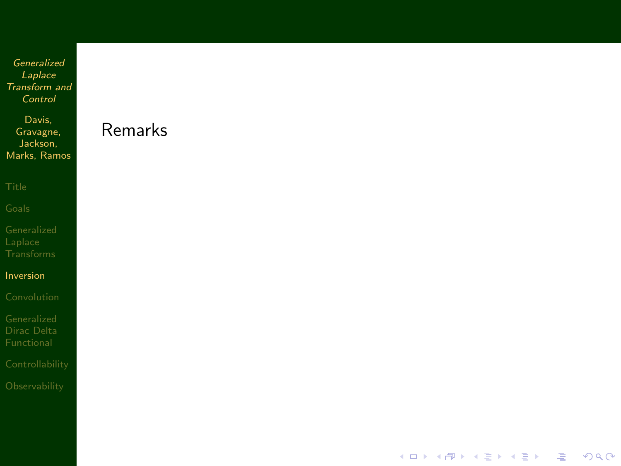Davis, Gravagne, Jackson, Marks, Ramos

[Inversion](#page-26-0)

Remarks

イロト 不優 ト 不重 ト 不重 トー

ミー  $299$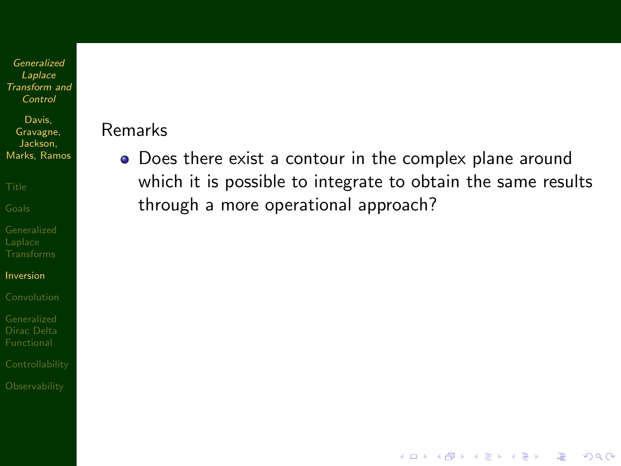Davis, Gravagne, Jackson, Marks, Ramos

[Inversion](#page-26-0)

[Dirac Delta](#page-56-0)

#### Remarks

• Does there exist a contour in the complex plane around which it is possible to integrate to obtain the same results through a more operational approach?

**KORK EX KEY KEY YOUR**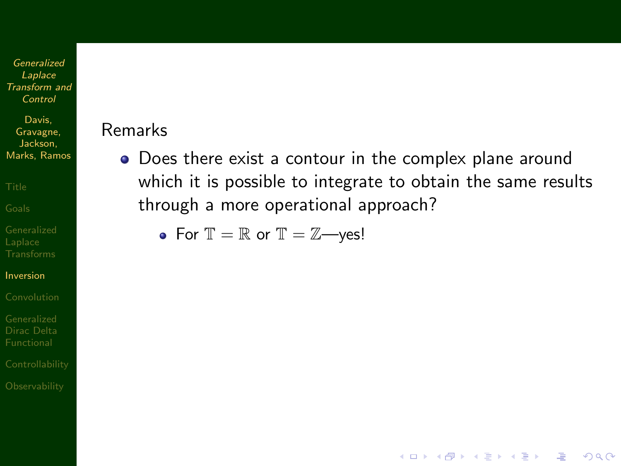Davis, Gravagne, Jackson, Marks, Ramos

[Inversion](#page-26-0)

[Dirac Delta](#page-56-0)

#### Remarks

Does there exist a contour in the complex plane around which it is possible to integrate to obtain the same results through a more operational approach?

**KORK EX KEY KEY YOUR** 

• For  $\mathbb{T} = \mathbb{R}$  or  $\mathbb{T} = \mathbb{Z}$ —yes!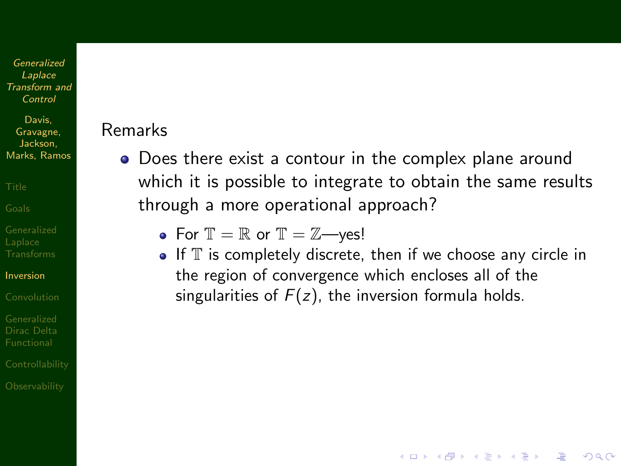Davis, Gravagne, Jackson, Marks, Ramos

[Inversion](#page-26-0)

[Dirac Delta](#page-56-0)

#### Remarks

• Does there exist a contour in the complex plane around which it is possible to integrate to obtain the same results through a more operational approach?

• For  $\mathbb{T} = \mathbb{R}$  or  $\mathbb{T} = \mathbb{Z}$ —yes!

 $\bullet$  If  $\mathbb T$  is completely discrete, then if we choose any circle in the region of convergence which encloses all of the singularities of  $F(z)$ , the inversion formula holds.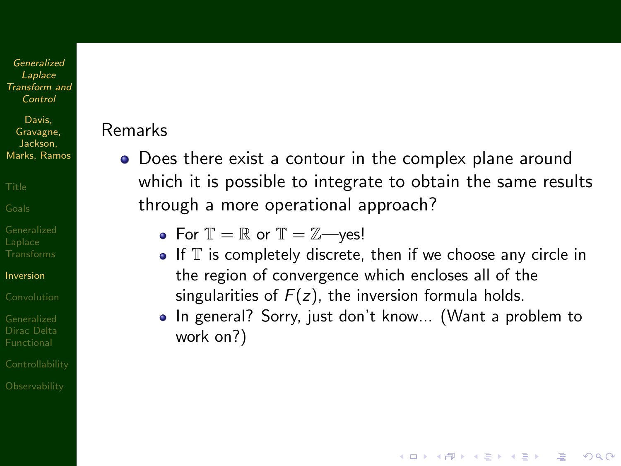Davis, Gravagne, Jackson, Marks, Ramos

[Inversion](#page-26-0)

[Dirac Delta](#page-56-0)

## Remarks

• Does there exist a contour in the complex plane around which it is possible to integrate to obtain the same results through a more operational approach?

• For  $\mathbb{T} = \mathbb{R}$  or  $\mathbb{T} = \mathbb{Z}$ —yes!

- $\bullet$  If  $\mathbb T$  is completely discrete, then if we choose any circle in the region of convergence which encloses all of the singularities of  $F(z)$ , the inversion formula holds.
- In general? Sorry, just don't know... (Want a problem to work on?)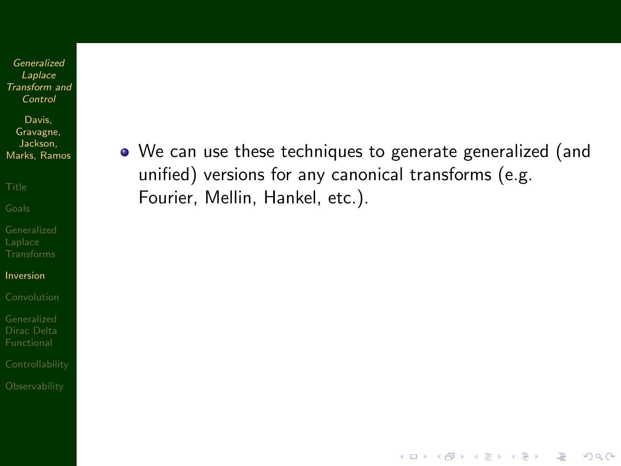Davis, Gravagne, Jackson, Marks, Ramos

[Inversion](#page-26-0)

[Dirac Delta](#page-56-0)

We can use these techniques to generate generalized (and unified) versions for any canonical transforms (e.g. Fourier, Mellin, Hankel, etc.).

**KORK EX KEY KEY YOUR**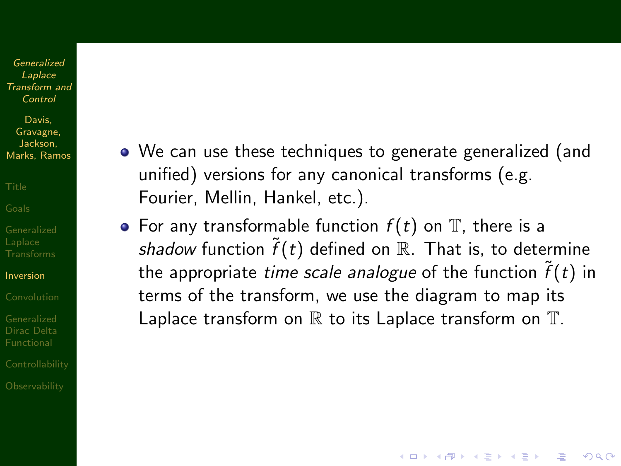Davis, Gravagne, Jackson, Marks, Ramos

[Inversion](#page-26-0)

[Dirac Delta](#page-56-0)

- We can use these techniques to generate generalized (and unified) versions for any canonical transforms (e.g. Fourier, Mellin, Hankel, etc.).
- For any transformable function  $f(t)$  on  $\mathbb T$ , there is a shadow function  $\tilde{f}(t)$  defined on R. That is, to determine the appropriate *time scale analogue* of the function  $\tilde{f}(t)$  in terms of the transform, we use the diagram to map its Laplace transform on  $\mathbb R$  to its Laplace transform on  $\mathbb T$ .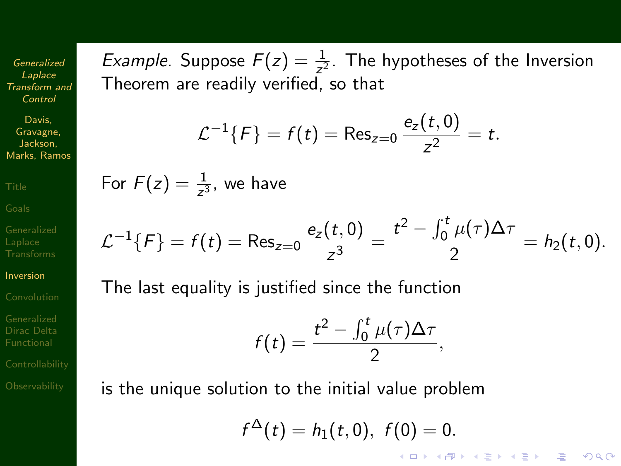Davis, Gravagne, Jackson, Marks, Ramos

[Inversion](#page-26-0)

[Dirac Delta](#page-56-0)

*Example.* Suppose  $F(z) = \frac{1}{z^2}$ . The hypotheses of the Inversion Theorem are readily verified, so that

$$
\mathcal{L}^{-1}{F} = f(t) = \text{Res}_{z=0} \frac{e_z(t,0)}{z^2} = t.
$$

For  $F(z) = \frac{1}{z^3}$ , we have

$$
\mathcal{L}^{-1}{F} = f(t) = \text{Res}_{z=0} \frac{e_z(t,0)}{z^3} = \frac{t^2 - \int_0^t \mu(\tau) \Delta \tau}{2} = h_2(t,0).
$$

The last equality is justified since the function

$$
f(t)=\frac{t^2-\int_0^t\mu(\tau)\Delta\tau}{2},
$$

is the unique solution to the initial value problem

f

$$
f^{\Delta}(t) = h_1(t,0), \ f(0) = 0.
$$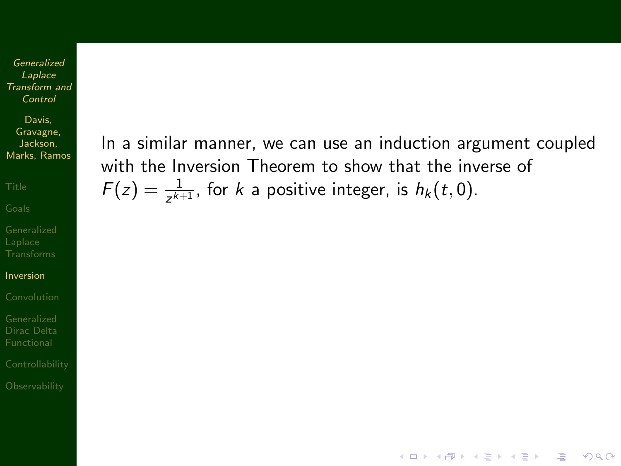Davis, Gravagne, Jackson, Marks, Ramos

[Inversion](#page-26-0)

[Dirac Delta](#page-56-0)

In a similar manner, we can use an induction argument coupled with the Inversion Theorem to show that the inverse of  $F(z) = \frac{1}{z^{k+1}}$ , for k a positive integer, is  $h_k(t, 0)$ .

**KORK EX KEY KEY YOUR**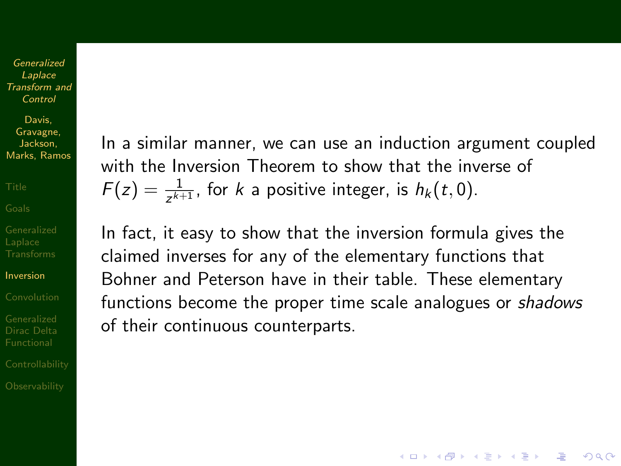Davis, Gravagne, Jackson, Marks, Ramos

[Inversion](#page-26-0)

[Dirac Delta](#page-56-0)

In a similar manner, we can use an induction argument coupled with the Inversion Theorem to show that the inverse of  $F(z) = \frac{1}{z^{k+1}}$ , for k a positive integer, is  $h_k(t, 0)$ .

In fact, it easy to show that the inversion formula gives the claimed inverses for any of the elementary functions that Bohner and Peterson have in their table. These elementary functions become the proper time scale analogues or shadows of their continuous counterparts.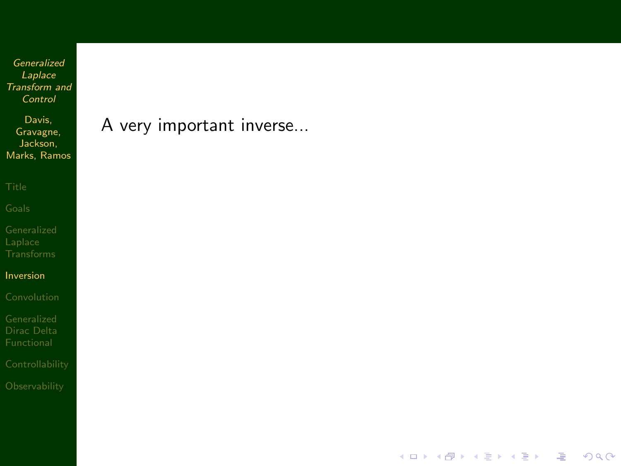Davis, Gravagne, Jackson, Marks, Ramos

[Inversion](#page-26-0)

A very important inverse...

イロト イ部 トイミト イミト

凄い  $2990$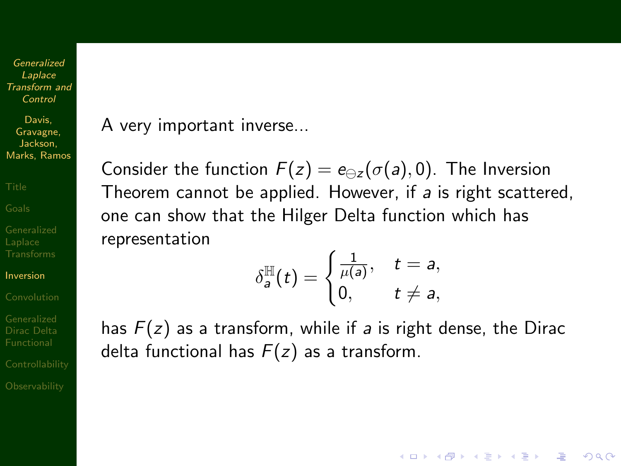Davis, Gravagne, Jackson, Marks, Ramos

[Inversion](#page-26-0)

[Dirac Delta](#page-56-0)

A very important inverse...

Consider the function  $F(z) = e_{\alpha z}(\sigma(a), 0)$ . The Inversion Theorem cannot be applied. However, if a is right scattered, one can show that the Hilger Delta function which has representation

$$
\delta_a^{\mathbb{H}}(t) = \begin{cases} \frac{1}{\mu(a)}, & t = a, \\ 0, & t \neq a, \end{cases}
$$

**AD A REAKEN E YOUR** 

has  $F(z)$  as a transform, while if a is right dense, the Dirac delta functional has  $F(z)$  as a transform.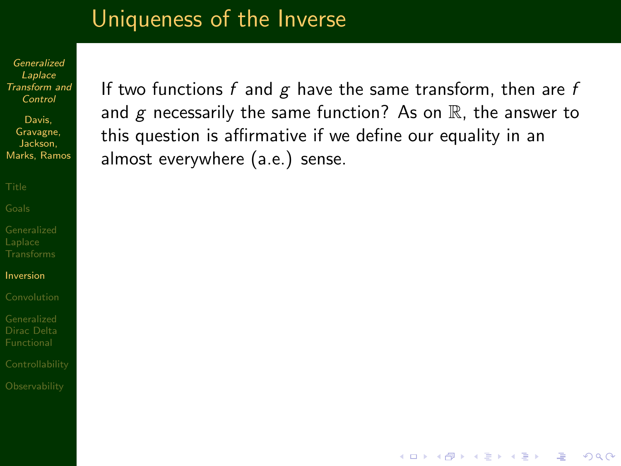## Uniqueness of the Inverse

Generalized Laplace [Transform and](#page-0-0) Control

Davis, Gravagne, Jackson, Marks, Ramos

[Inversion](#page-26-0)

[Dirac Delta](#page-56-0)

If two functions f and  $g$  have the same transform, then are f and  $g$  necessarily the same function? As on  $\mathbb R$ , the answer to this question is affirmative if we define our equality in an almost everywhere (a.e.) sense.

**KORK EX KEY KEY YOUR**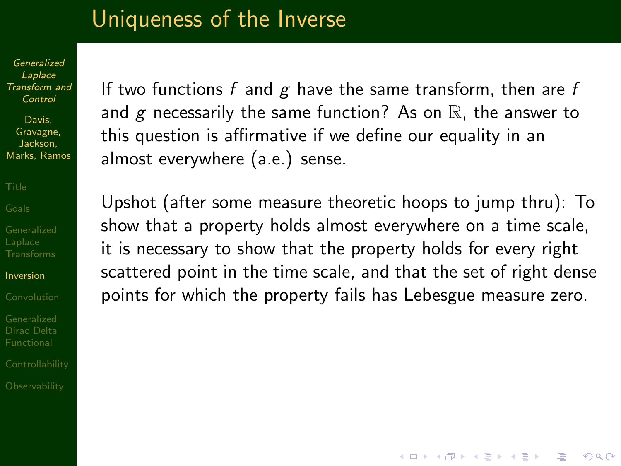## Uniqueness of the Inverse

Generalized Laplace [Transform and](#page-0-0) Control

Davis, Gravagne, Jackson, Marks, Ramos

[Inversion](#page-26-0)

[Dirac Delta](#page-56-0)

If two functions f and  $g$  have the same transform, then are f and  $g$  necessarily the same function? As on  $\mathbb R$ , the answer to this question is affirmative if we define our equality in an almost everywhere (a.e.) sense.

Upshot (after some measure theoretic hoops to jump thru): To show that a property holds almost everywhere on a time scale, it is necessary to show that the property holds for every right scattered point in the time scale, and that the set of right dense points for which the property fails has Lebesgue measure zero.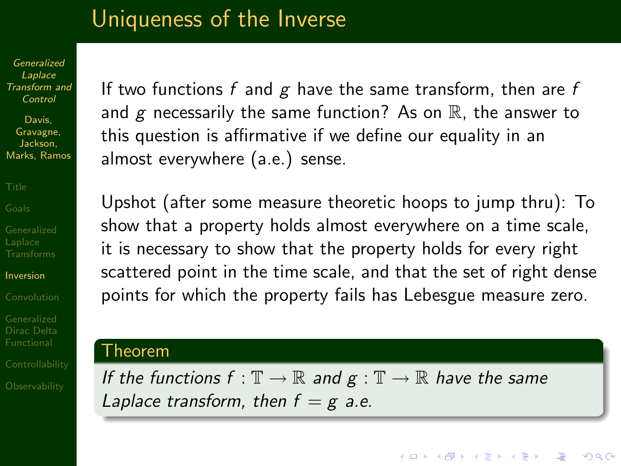## Uniqueness of the Inverse

Generalized Laplace [Transform and](#page-0-0) Control

Davis, Gravagne, Jackson, Marks, Ramos

[Inversion](#page-26-0)

[Dirac Delta](#page-56-0)

If two functions  $f$  and  $g$  have the same transform, then are  $f$ and  $g$  necessarily the same function? As on  $\mathbb R$ , the answer to this question is affirmative if we define our equality in an almost everywhere (a.e.) sense.

Upshot (after some measure theoretic hoops to jump thru): To show that a property holds almost everywhere on a time scale, it is necessary to show that the property holds for every right scattered point in the time scale, and that the set of right dense points for which the property fails has Lebesgue measure zero.

### Theorem

If the functions  $f : \mathbb{T} \to \mathbb{R}$  and  $g : \mathbb{T} \to \mathbb{R}$  have the same Laplace transform, then  $f = g$  a.e.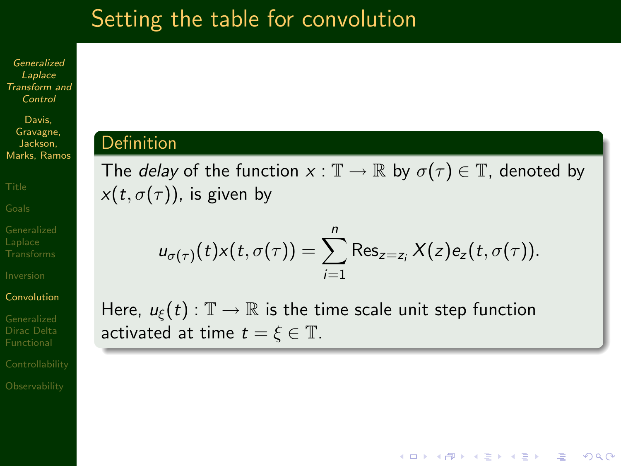## Setting the table for convolution

Generalized Laplace [Transform and](#page-0-0) Control

Davis, Gravagne, Jackson, Marks, Ramos

#### [Convolution](#page-47-0)

<span id="page-47-0"></span>[Dirac Delta](#page-56-0)

## Definition

The *delay* of the function  $x : \mathbb{T} \to \mathbb{R}$  by  $\sigma(\tau) \in \mathbb{T}$ , denoted by  $x(t, \sigma(\tau))$ , is given by

$$
u_{\sigma(\tau)}(t)x(t,\sigma(\tau))=\sum_{i=1}^n\operatorname{Res}_{z=z_i}X(z)e_z(t,\sigma(\tau)).
$$

**AD A REAKEN E YOUR** 

Here,  $u_{\xi}(t): \mathbb{T} \to \mathbb{R}$  is the time scale unit step function activated at time  $t = \xi \in \mathbb{T}$ .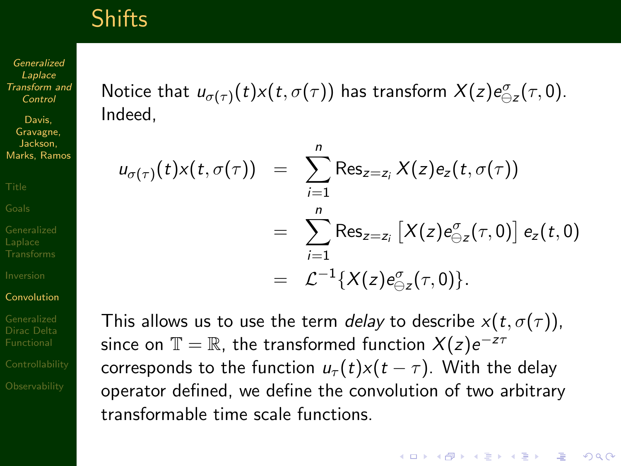## **Shifts**

Generalized Laplace [Transform and](#page-0-0) Control

Davis, Gravagne, Jackson, Marks, Ramos

#### [Convolution](#page-47-0)

[Dirac Delta](#page-56-0)

Notice that  $u_{\sigma(\tau)}(t) x(t,\sigma(\tau))$  has transform  $X(z) e_{\ominus z}^{\sigma}(\tau,0).$ Indeed,

$$
u_{\sigma(\tau)}(t)x(t,\sigma(\tau)) = \sum_{i=1}^{n} \text{Res}_{z=z_i} X(z)e_z(t,\sigma(\tau))
$$
  
= 
$$
\sum_{i=1}^{n} \text{Res}_{z=z_i} [X(z)e_{\ominus z}^{\sigma}(\tau,0)] e_z(t,0)
$$
  
= 
$$
\mathcal{L}^{-1} \{X(z)e_{\ominus z}^{\sigma}(\tau,0)\}.
$$

This allows us to use the term *delay* to describe  $x(t, \sigma(\tau))$ , since on  $\mathbb{T}=\mathbb{R}$ , the transformed function  $X(z)e^{-z\tau}$ corresponds to the function  $u_{\tau}(t)x(t-\tau)$ . With the delay operator defined, we define the convolution of two arbitrary transformable time scale functions.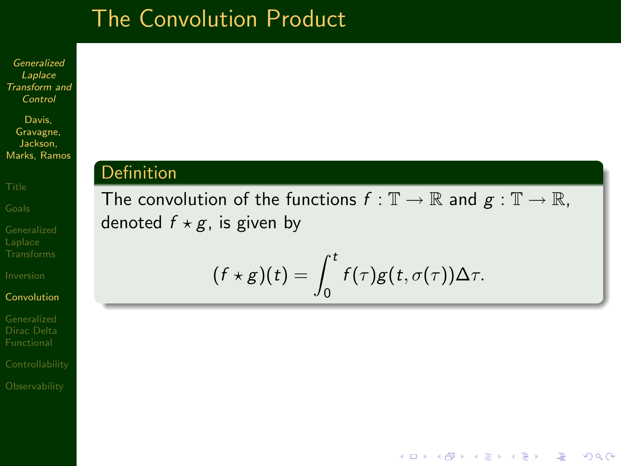## The Convolution Product

Generalized Laplace [Transform and](#page-0-0) Control

Davis, Gravagne, Jackson, Marks, Ramos

### [Convolution](#page-47-0)

[Dirac Delta](#page-56-0)

### Definition

The convolution of the functions  $f : \mathbb{T} \to \mathbb{R}$  and  $g : \mathbb{T} \to \mathbb{R}$ , denoted  $f \star g$ , is given by

$$
(f \star g)(t) = \int_0^t f(\tau)g(t,\sigma(\tau))\Delta \tau.
$$

**KORK EX KEY KEY YOUR**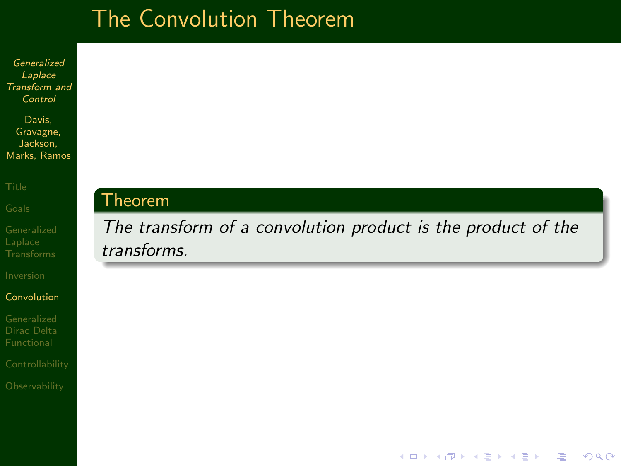# The Convolution Theorem

Generalized Laplace [Transform and](#page-0-0) Control

Davis, Gravagne, Jackson, Marks, Ramos

### [Convolution](#page-47-0)

[Dirac Delta](#page-56-0)

## Theorem

The transform of a convolution product is the product of the transforms.

**KORK EX KEY KEY YOUR**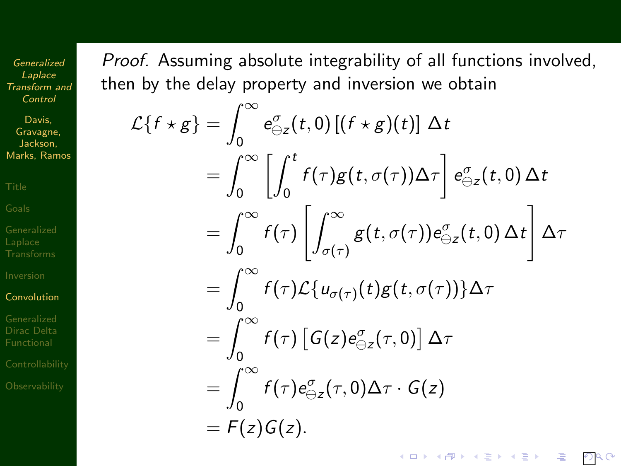Davis, Gravagne, Jackson, Marks, Ramos

#### [Convolution](#page-47-0)

[Dirac Delta](#page-56-0)

Proof. Assuming absolute integrability of all functions involved, then by the delay property and inversion we obtain

$$
\mathcal{L}\lbrace f \star g \rbrace = \int_0^\infty e_{\ominus z}^\sigma(t,0) \left[ (f \star g)(t) \right] \Delta t
$$
  
\n
$$
= \int_0^\infty \left[ \int_0^t f(\tau)g(t,\sigma(\tau)) \Delta \tau \right] e_{\ominus z}^\sigma(t,0) \Delta t
$$
  
\n
$$
= \int_0^\infty f(\tau) \left[ \int_{\sigma(\tau)}^\infty g(t,\sigma(\tau)) e_{\ominus z}^\sigma(t,0) \Delta t \right] \Delta \tau
$$
  
\n
$$
= \int_0^\infty f(\tau) \mathcal{L}\lbrace u_{\sigma(\tau)}(t)g(t,\sigma(\tau)) \rbrace \Delta \tau
$$
  
\n
$$
= \int_0^\infty f(\tau) \left[ G(z) e_{\ominus z}^\sigma(\tau,0) \right] \Delta \tau
$$
  
\n
$$
= \int_0^\infty f(\tau) e_{\ominus z}^\sigma(\tau,0) \Delta \tau \cdot G(z)
$$
  
\n
$$
= F(z) G(z).
$$

 $PQQ$ 

イロメ 不優 メイ君メ イ君メー 理じ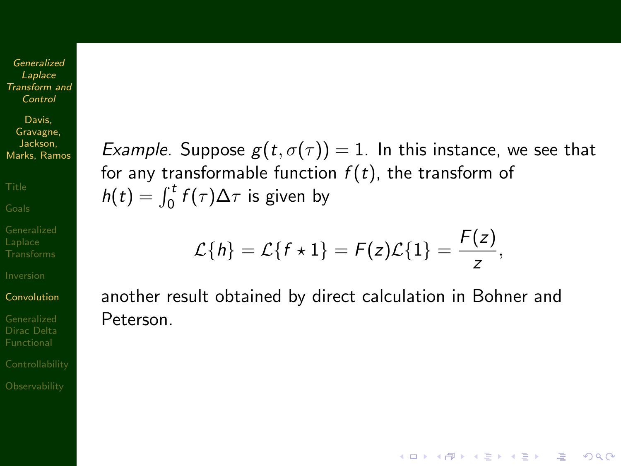Davis, Gravagne, Jackson, Marks, Ramos

#### [Convolution](#page-47-0)

[Dirac Delta](#page-56-0)

Example. Suppose  $g(t, \sigma(\tau)) = 1$ . In this instance, we see that for any transformable function  $f(t)$ , the transform of  $h(t) = \int_0^t f(\tau) \Delta \tau$  is given by

$$
\mathcal{L}{h} = \mathcal{L}{f \star 1} = F(z)\mathcal{L}{1} = \frac{F(z)}{z},
$$

**AD A REAKEN E YOUR** 

another result obtained by direct calculation in Bohner and Peterson.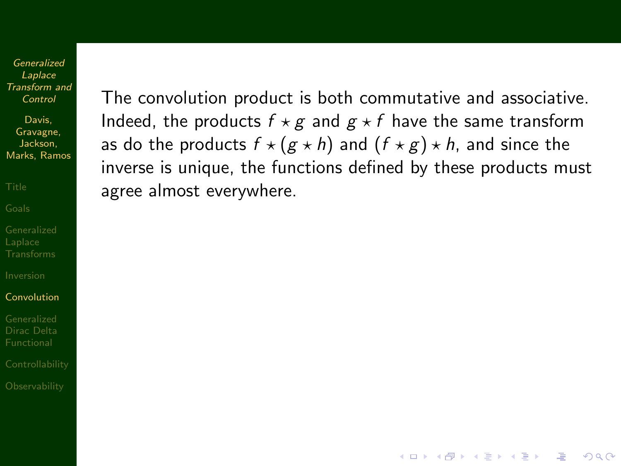Davis, Gravagne, Jackson, Marks, Ramos

#### [Convolution](#page-47-0)

[Dirac Delta](#page-56-0)

The convolution product is both commutative and associative. Indeed, the products  $f \star g$  and  $g \star f$  have the same transform as do the products  $f \star (g \star h)$  and  $(f \star g) \star h$ , and since the inverse is unique, the functions defined by these products must agree almost everywhere.

**KOD KAR KED KED E VOQO**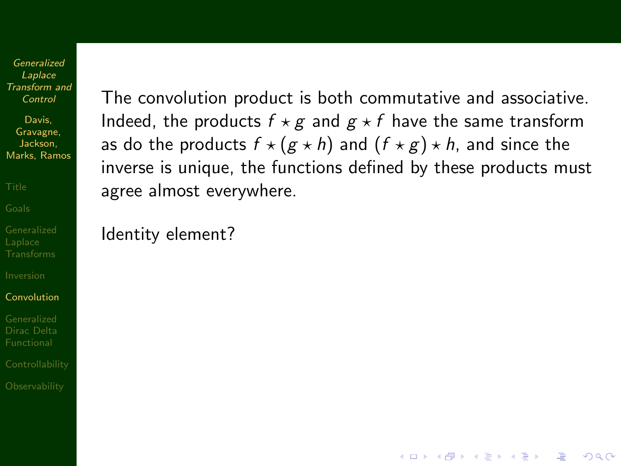Davis, Gravagne, Jackson, Marks, Ramos

#### [Convolution](#page-47-0)

[Dirac Delta](#page-56-0)

The convolution product is both commutative and associative. Indeed, the products  $f \star g$  and  $g \star f$  have the same transform as do the products  $f \star (g \star h)$  and  $(f \star g) \star h$ , and since the inverse is unique, the functions defined by these products must agree almost everywhere.

**KOD KAR KED KED E VOQO** 

Identity element?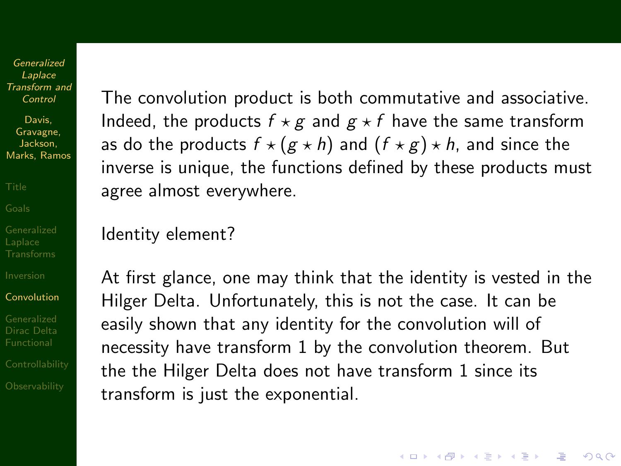Davis, Gravagne, Jackson, Marks, Ramos

#### [Convolution](#page-47-0)

[Dirac Delta](#page-56-0)

The convolution product is both commutative and associative. Indeed, the products  $f \star g$  and  $g \star f$  have the same transform as do the products  $f \star (g \star h)$  and  $(f \star g) \star h$ , and since the inverse is unique, the functions defined by these products must agree almost everywhere.

Identity element?

At first glance, one may think that the identity is vested in the Hilger Delta. Unfortunately, this is not the case. It can be easily shown that any identity for the convolution will of necessity have transform 1 by the convolution theorem. But the the Hilger Delta does not have transform 1 since its transform is just the exponential.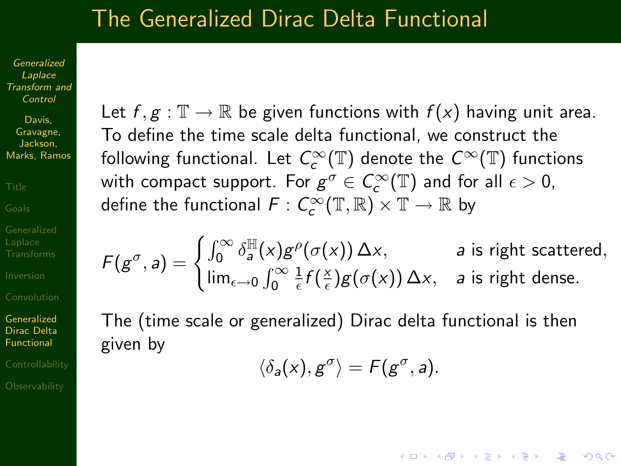## The Generalized Dirac Delta Functional

Generalized Laplace [Transform and](#page-0-0) Control

Davis, Gravagne, Jackson, Marks, Ramos

Generalized [Dirac Delta](#page-56-0) Functional

<span id="page-56-0"></span>

Let  $f, g : \mathbb{T} \to \mathbb{R}$  be given functions with  $f(x)$  having unit area. To define the time scale delta functional, we construct the following functional. Let  $\mathit{C}^\infty_c(\mathbb{T})$  denote the  $\mathit{C}^\infty(\mathbb{T})$  functions with compact support. For  $g^{\sigma}\in \mathcal{C}_{c}^{\infty}(\mathbb{T})$  and for all  $\epsilon>0$ , define the functional  $\mathit{F}:\mathit{C}^\infty_c(\mathbb{T},\mathbb{R})\times\mathbb{T}\to\mathbb{R}$  by

$$
F(g^{\sigma}, a) = \begin{cases} \int_0^{\infty} \delta_a^{\mathbb{H}}(x) g^{\rho}(\sigma(x)) \Delta x, & a \text{ is right scattered,} \\ \lim_{\epsilon \to 0} \int_0^{\infty} \frac{1}{\epsilon} f(\frac{x}{\epsilon}) g(\sigma(x)) \Delta x, & a \text{ is right dense.} \end{cases}
$$

The (time scale or generalized) Dirac delta functional is then given by

 $\langle \delta_a(x), g^{\sigma} \rangle = F(g^{\sigma}, a).$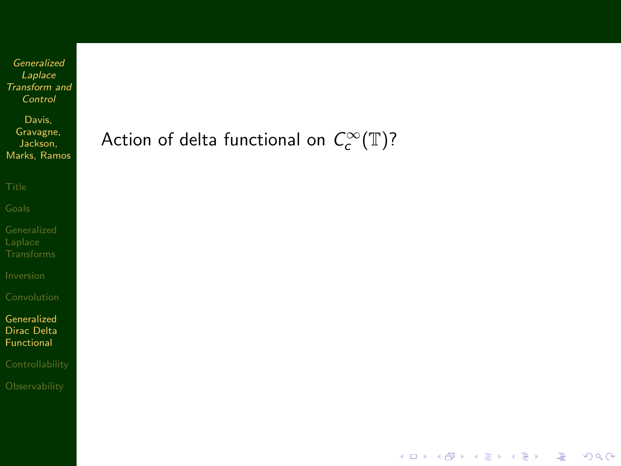Davis, Gravagne, Jackson, Marks, Ramos

Generalized [Dirac Delta](#page-56-0) Functional

## Action of delta functional on  $\,C^{\infty}_c(\mathbb{T})\,$ ?

K ロ ▶ K @ ▶ K 할 ▶ K 할 ▶ ( 할 ) 수 있습니다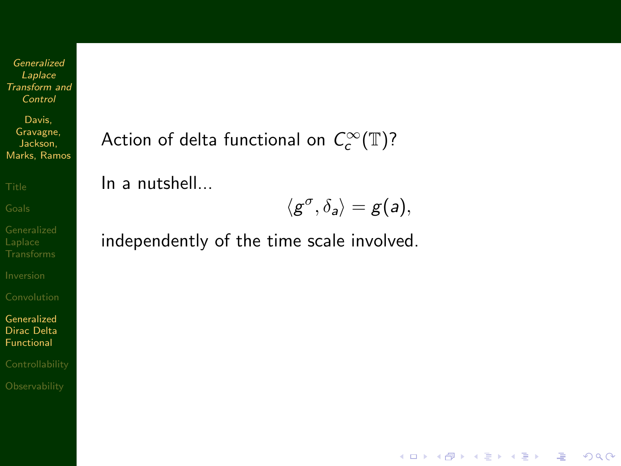Davis, Gravagne, Jackson, Marks, Ramos

Generalized [Dirac Delta](#page-56-0) Functional

Action of delta functional on  $\,C^{\infty}_c(\mathbb{T})\,$ ?

In a nutshell...

$$
\langle g^{\sigma}, \delta_a \rangle = g(a),
$$

**KORK EX KEY KEY YOUR** 

independently of the time scale involved.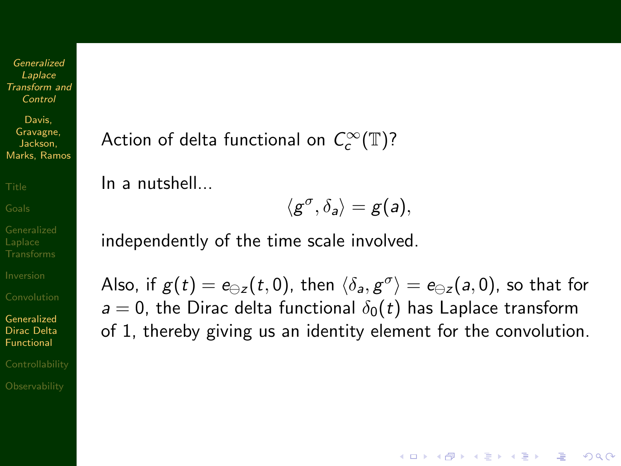Davis, Gravagne, Jackson, Marks, Ramos

Generalized [Dirac Delta](#page-56-0) Functional

Action of delta functional on  $\,C^{\infty}_c(\mathbb{T})\,$ ?

In a nutshell...

$$
\langle g^\sigma, \delta_a \rangle = g(a),
$$

independently of the time scale involved.

Also, if  $g(t) = e_{\ominus z}(t,0)$ , then  $\langle \delta_a, g^\sigma \rangle = e_{\ominus z}(a,0)$ , so that for  $a = 0$ , the Dirac delta functional  $\delta_0(t)$  has Laplace transform of 1, thereby giving us an identity element for the convolution.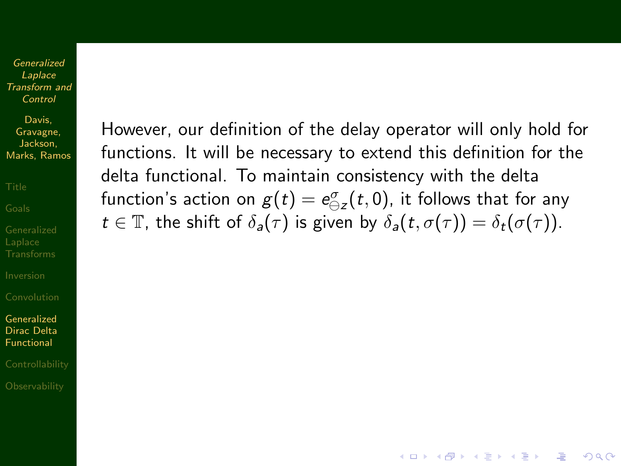Davis, Gravagne, Jackson, Marks, Ramos

Generalized [Dirac Delta](#page-56-0) Functional

However, our definition of the delay operator will only hold for functions. It will be necessary to extend this definition for the delta functional. To maintain consistency with the delta function's action on  $g(t)=\mathsf{e}_{\ominus z}^{\sigma}(t,0)$ , it follows that for any  $t \in \mathbb{T}$ , the shift of  $\delta_a(\tau)$  is given by  $\delta_a(t, \sigma(\tau)) = \delta_t(\sigma(\tau))$ .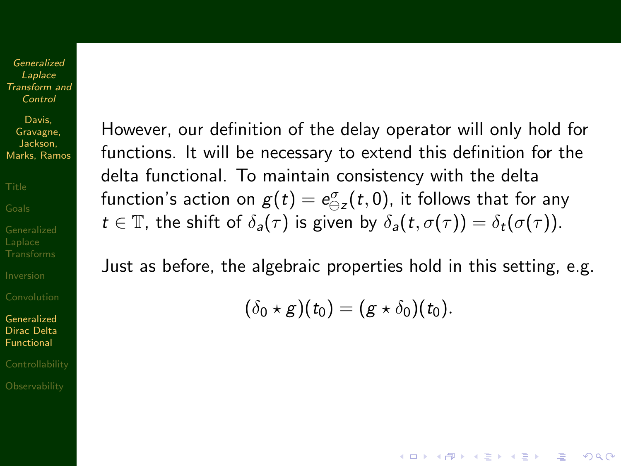Davis, Gravagne, Jackson, Marks, Ramos

Generalized [Dirac Delta](#page-56-0) Functional

However, our definition of the delay operator will only hold for functions. It will be necessary to extend this definition for the delta functional. To maintain consistency with the delta function's action on  $g(t)=\mathsf{e}_{\ominus z}^{\sigma}(t,0)$ , it follows that for any  $t \in \mathbb{T}$ , the shift of  $\delta_a(\tau)$  is given by  $\delta_a(t, \sigma(\tau)) = \delta_t(\sigma(\tau))$ .

Just as before, the algebraic properties hold in this setting, e.g.

 $(\delta_0 \star \mathbf{g})(t_0) = (\mathbf{g} \star \delta_0)(t_0).$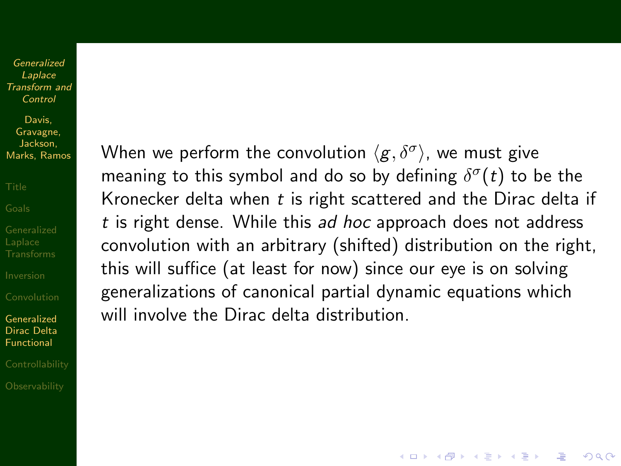Davis, Gravagne, Jackson, Marks, Ramos

Generalized [Dirac Delta](#page-56-0) Functional

When we perform the convolution  $\langle g, \delta^\sigma \rangle$ , we must give meaning to this symbol and do so by defining  $\delta^\sigma(t)$  to be the Kronecker delta when  $t$  is right scattered and the Dirac delta if t is right dense. While this ad hoc approach does not address convolution with an arbitrary (shifted) distribution on the right, this will suffice (at least for now) since our eye is on solving generalizations of canonical partial dynamic equations which will involve the Dirac delta distribution.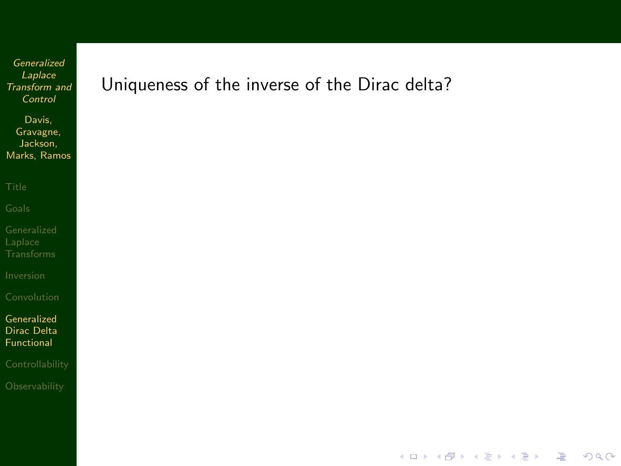Davis, Gravagne, Jackson, Marks, Ramos

Generalized [Dirac Delta](#page-56-0) Functional

Uniqueness of the inverse of the Dirac delta?

イロメ 不優々 不着 メイ君 メー 道一

 $2990$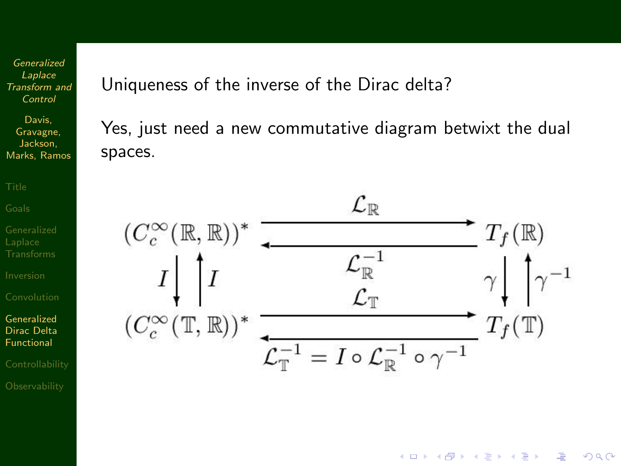Davis, Gravagne, Jackson, Marks, Ramos

Generalized [Dirac Delta](#page-56-0) Functional

Uniqueness of the inverse of the Dirac delta?

Yes, just need a new commutative diagram betwixt the dual spaces.



イロト イ押 トイヨト イヨト

 $\equiv$ 

 $2990$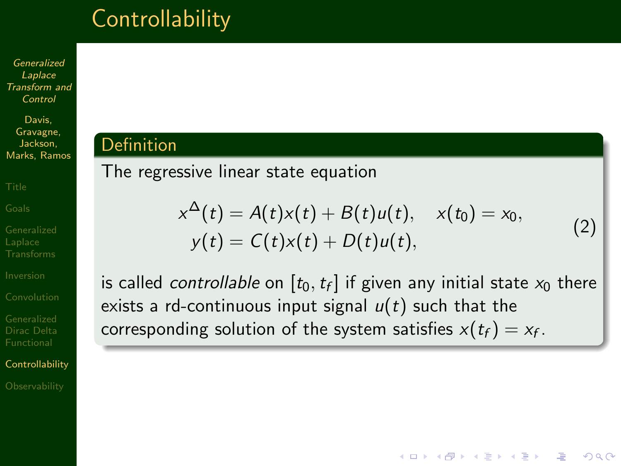# **Controllability**

Generalized Laplace [Transform and](#page-0-0) Control

Davis, Gravagne, Jackson, Marks, Ramos

[Dirac Delta](#page-56-0)

**[Controllability](#page-65-0)** 

<span id="page-65-0"></span>

## **Definition**

## The regressive linear state equation

<span id="page-65-1"></span>
$$
x^{\Delta}(t) = A(t)x(t) + B(t)u(t), \quad x(t_0) = x_0, y(t) = C(t)x(t) + D(t)u(t),
$$
 (2)

**AD A REAKEN E VOOR** 

is called *controllable* on  $[t_0,t_f]$  if given any initial state  $\mathsf{x}_0$  there exists a rd-continuous input signal  $u(t)$  such that the corresponding solution of the system satisfies  $x(t_f) = x_f$ .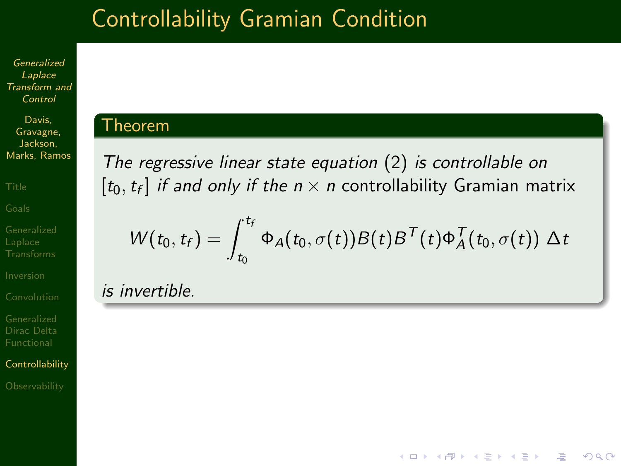# Controllability Gramian Condition

Generalized Laplace [Transform and](#page-0-0) Control

Davis, Gravagne, Jackson, Marks, Ramos

[Dirac Delta](#page-56-0)

**[Controllability](#page-65-0)** 

### Theorem

The regressive linear state equation [\(2\)](#page-65-1) is controllable on  $[t_0, t_f]$  *if and only if the n*  $\times$  *n* controllability Gramian matrix

$$
W(t_0, t_f) = \int_{t_0}^{t_f} \Phi_A(t_0, \sigma(t)) B(t) B^{\mathsf{T}}(t) \Phi_A^{\mathsf{T}}(t_0, \sigma(t)) \Delta t
$$

**KORK ERKER ER AGA** 

is invertible.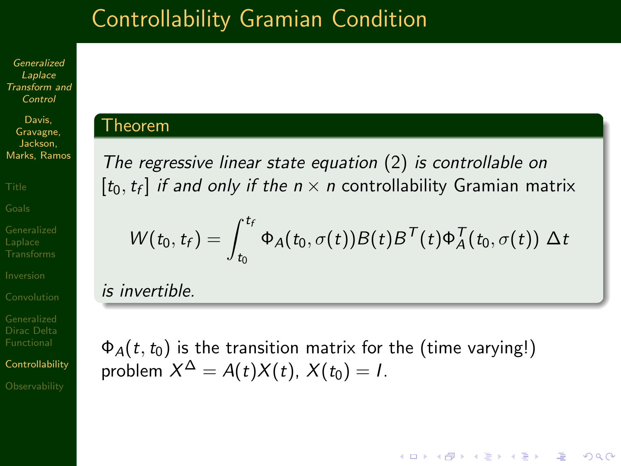# Controllability Gramian Condition

Generalized Laplace [Transform and](#page-0-0) Control

Davis, Gravagne, Jackson, Marks, Ramos

[Dirac Delta](#page-56-0)

**[Controllability](#page-65-0)** 

### Theorem

The regressive linear state equation [\(2\)](#page-65-1) is controllable on  $[t_0, t_f]$  *if and only if the n*  $\times$  *n* controllability Gramian matrix

$$
W(t_0, t_f) = \int_{t_0}^{t_f} \Phi_A(t_0, \sigma(t)) B(t) B^{\mathsf{T}}(t) \Phi_A^{\mathsf{T}}(t_0, \sigma(t)) \Delta t
$$

**AD A REAKEN E VOOR** 

is invertible.

 $\Phi_A(t,t_0)$  is the transition matrix for the (time varying!) problem  $X^\Delta = A(t) X(t),\, X(t_0) = I.$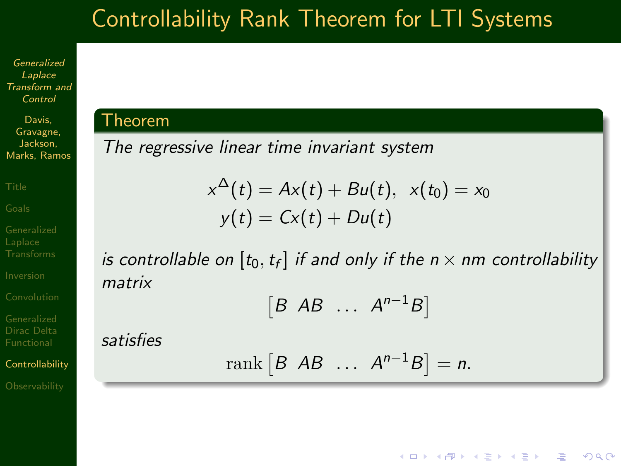# Controllability Rank Theorem for LTI Systems

Generalized Laplace [Transform and](#page-0-0) Control

Davis, Gravagne, Jackson, Marks, Ramos

[Dirac Delta](#page-56-0)

**[Controllability](#page-65-0)** 

### Theorem

satisfies

The regressive linear time invariant system

$$
x^{\Delta}(t) = Ax(t) + Bu(t), \ \ x(t_0) = x_0
$$
  

$$
y(t) = Cx(t) + Du(t)
$$

is controllable on  $[t_0,t_f]$  if and only if the  $n\times n$ m controllability matrix

$$
[B \ AB \ \ldots \ A^{n-1}B]
$$

$$
rank [B AB ... A^{n-1}B] = n.
$$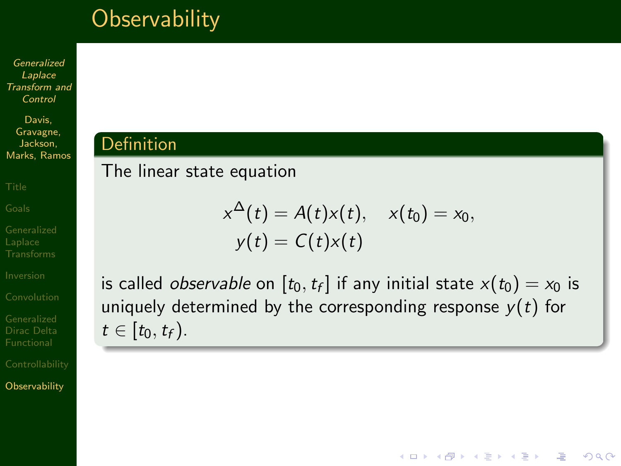# **Observability**

Generalized Laplace [Transform and](#page-0-0) Control

Davis, Gravagne, Jackson, Marks, Ramos

[Dirac Delta](#page-56-0)

<span id="page-69-0"></span>**[Observability](#page-69-0)** 

## Definition

The linear state equation

$$
x^{\Delta}(t) = A(t)x(t), \quad x(t_0) = x_0,
$$
  

$$
y(t) = C(t)x(t)
$$

is called *observable* on  $[t_0,t_f]$  if any initial state  $x(t_0)=x_0$  is uniquely determined by the corresponding response  $y(t)$  for  $t \in [t_0, t_f)$ .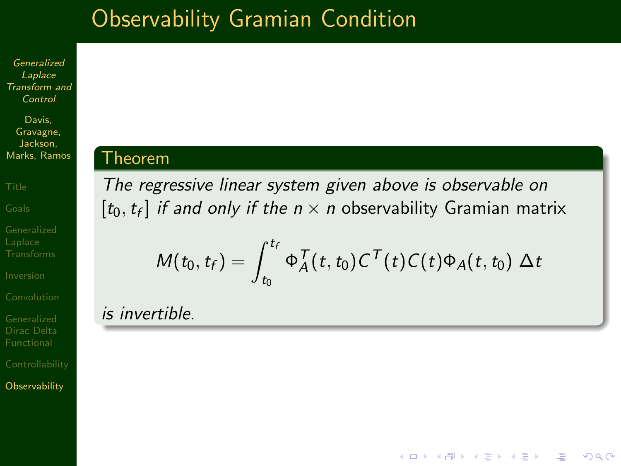# Observability Gramian Condition

Generalized Laplace [Transform and](#page-0-0) Control

Davis, Gravagne, Jackson, Marks, Ramos

[Dirac Delta](#page-56-0)

**[Observability](#page-69-0)** 

### Theorem

The regressive linear system given above is observable on  $[t_0, t_f]$  *if and only if the n*  $\times$  *n* observability Gramian matrix

$$
M(t_0, t_f) = \int_{t_0}^{t_f} \Phi_A^T(t, t_0) C^T(t) C(t) \Phi_A(t, t_0) \Delta t
$$

**AD A REAKEN E VOOR** 

## is invertible.